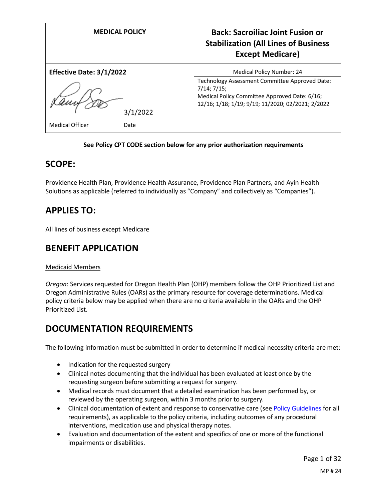| <b>MEDICAL POLICY</b>          | <b>Back: Sacroiliac Joint Fusion or</b><br><b>Stabilization (All Lines of Business</b><br><b>Except Medicare)</b>                                                         |
|--------------------------------|---------------------------------------------------------------------------------------------------------------------------------------------------------------------------|
| Effective Date: 3/1/2022       | Medical Policy Number: 24                                                                                                                                                 |
| 3/1/2022                       | Technology Assessment Committee Approved Date:<br>$7/14$ ; $7/15$ ;<br>Medical Policy Committee Approved Date: 6/16;<br>12/16; 1/18; 1/19; 9/19; 11/2020; 02/2021; 2/2022 |
| <b>Medical Officer</b><br>Date |                                                                                                                                                                           |

## **See Policy CPT CODE section below for any prior authorization requirements**

## **SCOPE:**

Providence Health Plan, Providence Health Assurance, Providence Plan Partners, and Ayin Health Solutions as applicable (referred to individually as "Company" and collectively as "Companies").

# **APPLIES TO:**

All lines of business except Medicare

# **BENEFIT APPLICATION**

## Medicaid Members

*Oregon*: Services requested for Oregon Health Plan (OHP) members follow the OHP Prioritized List and Oregon Administrative Rules (OARs) as the primary resource for coverage determinations. Medical policy criteria below may be applied when there are no criteria available in the OARs and the OHP Prioritized List.

# **DOCUMENTATION REQUIREMENTS**

The following information must be submitted in order to determine if medical necessity criteria are met:

- Indication for the requested surgery
- Clinical notes documenting that the individual has been evaluated at least once by the requesting surgeon before submitting a request for surgery.
- Medical records must document that a detailed examination has been performed by, or reviewed by the operating surgeon, within 3 months prior to surgery.
- Clinical documentation of extent and response to conservative care (see [Policy Guidelines](#page-3-0) for all requirements), as applicable to the policy criteria, including outcomes of any procedural interventions, medication use and physical therapy notes.
- Evaluation and documentation of the extent and specifics of one or more of the functional impairments or disabilities.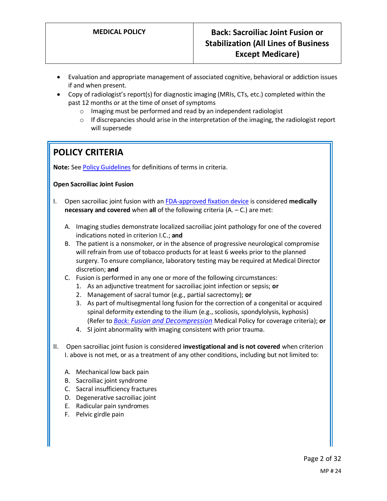- Evaluation and appropriate management of associated cognitive, behavioral or addiction issues if and when present.
- Copy of radiologist's report(s) for diagnostic imaging (MRIs, CTs, etc.) completed within the past 12 months or at the time of onset of symptoms
	- o Imaging must be performed and read by an independent radiologist
	- $\circ$  If discrepancies should arise in the interpretation of the imaging, the radiologist report will supersede

# **POLICY CRITERIA**

**Note:** Se[e Policy Guidelines](#page-3-0) for definitions of terms in criteria.

## **Open Sacroiliac Joint Fusion**

- I. Open sacroiliac joint fusion with a[n FDA-approved fixation device](#page-24-0) is considered **medically necessary and covered** when **all** of the following criteria (A. – C.) are met:
	- A. Imaging studies demonstrate localized sacroiliac joint pathology for one of the covered indications noted in criterion I.C.; **and**
	- B. The patient is a nonsmoker, or in the absence of progressive neurological compromise will refrain from use of tobacco products for at least 6 weeks prior to the planned surgery. To ensure compliance, laboratory testing may be required at Medical Director discretion; **and**
	- C. Fusion is performed in any one or more of the following circumstances:
		- 1. As an adjunctive treatment for sacroiliac joint infection or sepsis; **or**
		- 2. Management of sacral tumor (e.g., partial sacrectomy); **or**
		- 3. As part of multisegmental long fusion for the correction of a congenital or acquired spinal deformity extending to the ilium (e.g., scoliosis, spondylolysis, kyphosis) (Refer to *[Back:](https://s3-us-west-2.amazonaws.com/images.provhealth.org/Providence-Images/PHP_Back_Fusion_Decompression.pdf) [Fusion and Decompression](https://s3-us-west-2.amazonaws.com/images.provhealth.org/Providence-Images/PHP_Back_Fusion_Decompression.pdf)* Medical Policy for coverage criteria); **or**
		- 4. SI joint abnormality with imaging consistent with prior trauma.
- II. Open sacroiliac joint fusion is considered **investigational and is not covered** when criterion I. above is not met, or as a treatment of any other conditions, including but not limited to:
	- A. Mechanical low back pain
	- B. Sacroiliac joint syndrome
	- C. Sacral insufficiency fractures
	- D. Degenerative sacroiliac joint
	- E. Radicular pain syndromes
	- F. Pelvic girdle pain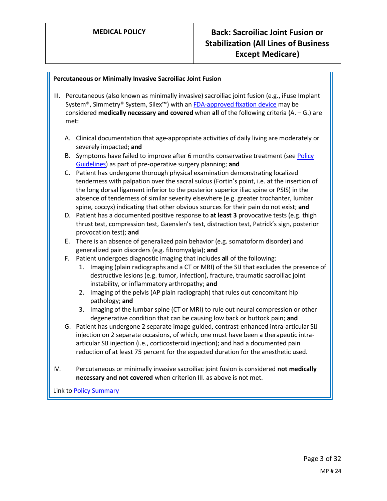## **Percutaneous or Minimally Invasive Sacroiliac Joint Fusion**

- III. Percutaneous (also known as minimally invasive) sacroiliac joint fusion (e.g., iFuse Implant System®, SImmetry® System, Silex<sup>™</sup>) with a[n FDA-approved fixation device](#page-24-0) may be considered **medically necessary and covered** when **all** of the following criteria (A. – G.) are met:
	- A. Clinical documentation that age-appropriate activities of daily living are moderately or severely impacted; **and**
	- B. Symptoms have failed to improve after 6 months conservative treatment (se[e Policy](#page-3-0)  [Guidelines\)](#page-3-0) as part of pre-operative surgery planning; **and**
	- C. Patient has undergone thorough physical examination demonstrating localized tenderness with palpation over the sacral sulcus (Fortin's point, i.e. at the insertion of the long dorsal ligament inferior to the posterior superior iliac spine or PSIS) in the absence of tenderness of similar severity elsewhere (e.g. greater trochanter, lumbar spine, coccyx) indicating that other obvious sources for their pain do not exist; **and**
	- D. Patient has a documented positive response to **at least 3** provocative tests (e.g. thigh thrust test, compression test, Gaenslen's test, distraction test, Patrick's sign, posterior provocation test); **and**
	- E. There is an absence of generalized pain behavior (e.g. somatoform disorder) and generalized pain disorders (e.g. fibromyalgia); **and**
	- F. Patient undergoes diagnostic imaging that includes **all** of the following:
		- 1. Imaging (plain radiographs and a CT or MRI) of the SIJ that excludes the presence of destructive lesions (e.g. tumor, infection), fracture, traumatic sacroiliac joint instability, or inflammatory arthropathy; **and**
		- 2. Imaging of the pelvis (AP plain radiograph) that rules out concomitant hip pathology; **and**
		- 3. Imaging of the lumbar spine (CT or MRI) to rule out neural compression or other degenerative condition that can be causing low back or buttock pain; **and**
	- G. Patient has undergone 2 separate image-guided, contrast-enhanced intra-articular SIJ injection on 2 separate occasions, of which, one must have been a therapeutic intraarticular SIJ injection (i.e., corticosteroid injection); and had a documented pain reduction of at least 75 percent for the expected duration for the anesthetic used.
- IV. Percutaneous or minimally invasive sacroiliac joint fusion is considered **not medically necessary and not covered** when criterion III. as above is not met.

Link t[o Policy Summary](#page-23-0)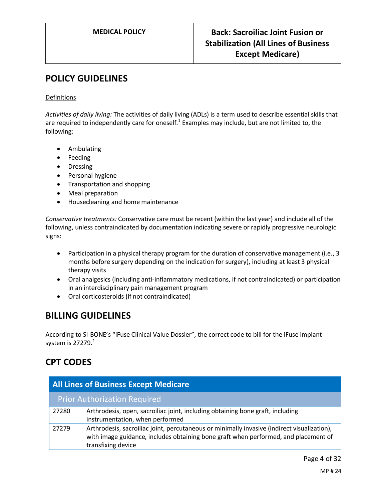# <span id="page-3-0"></span>**POLICY GUIDELINES**

## Definitions

*Activities of daily living:* The activities of daily living (ADLs) is a term used to describe essential skills that are required to independently care for oneself.<sup>1</sup> Examples may include, but are not limited to, the following:

- Ambulating
- Feeding
- Dressing
- Personal hygiene
- Transportation and shopping
- Meal preparation
- Housecleaning and home maintenance

*Conservative treatments:* Conservative care must be recent (within the last year) and include all of the following, unless contraindicated by documentation indicating severe or rapidly progressive neurologic signs:

- Participation in a physical therapy program for the duration of conservative management (i.e., 3 months before surgery depending on the indication for surgery), including at least 3 physical therapy visits
- Oral analgesics (including anti-inflammatory medications, if not contraindicated) or participation in an interdisciplinary pain management program
- Oral corticosteroids (if not contraindicated)

# **BILLING GUIDELINES**

According to SI-BONE's "iFuse Clinical Value Dossier", the correct code to bill for the iFuse implant system is 27279. 2

# **CPT CODES**

| <b>All Lines of Business Except Medicare</b> |                                                                                                                                                                                                          |  |
|----------------------------------------------|----------------------------------------------------------------------------------------------------------------------------------------------------------------------------------------------------------|--|
|                                              | <b>Prior Authorization Required</b>                                                                                                                                                                      |  |
| 27280                                        | Arthrodesis, open, sacroiliac joint, including obtaining bone graft, including<br>instrumentation, when performed                                                                                        |  |
| 27279                                        | Arthrodesis, sacroiliac joint, percutaneous or minimally invasive (indirect visualization),<br>with image guidance, includes obtaining bone graft when performed, and placement of<br>transfixing device |  |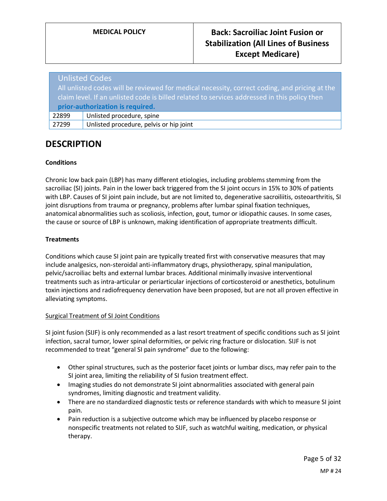## Unlisted Codes

All unlisted codes will be reviewed for medical necessity, correct coding, and pricing at the claim level. If an unlisted code is billed related to services addressed in this policy then **prior-authorization is required.**

| 22899 | Unlisted procedure, spine |
|-------|---------------------------|
|-------|---------------------------|

| 27299 | Unlisted procedure, pelvis or hip joint |
|-------|-----------------------------------------|
|       |                                         |

# **DESCRIPTION**

## **Conditions**

Chronic low back pain (LBP) has many different etiologies, including problems stemming from the sacroiliac (SI) joints. Pain in the lower back triggered from the SI joint occurs in 15% to 30% of patients with LBP. Causes of SI joint pain include, but are not limited to, degenerative sacroiliitis, osteoarthritis, SI joint disruptions from trauma or pregnancy, problems after lumbar spinal fixation techniques, anatomical abnormalities such as scoliosis, infection, gout, tumor or idiopathic causes. In some cases, the cause or source of LBP is unknown, making identification of appropriate treatments difficult.

## **Treatments**

Conditions which cause SI joint pain are typically treated first with conservative measures that may include analgesics, non-steroidal anti-inflammatory drugs, physiotherapy, spinal manipulation, pelvic/sacroiliac belts and external lumbar braces. Additional minimally invasive interventional treatments such as intra-articular or periarticular injections of corticosteroid or anesthetics, botulinum toxin injections and radiofrequency denervation have been proposed, but are not all proven effective in alleviating symptoms.

## Surgical Treatment of SI Joint Conditions

SI joint fusion (SIJF) is only recommended as a last resort treatment of specific conditions such as SI joint infection, sacral tumor, lower spinal deformities, or pelvic ring fracture or dislocation. SIJF is not recommended to treat "general SI pain syndrome" due to the following:

- Other spinal structures, such as the posterior facet joints or lumbar discs, may refer pain to the SI joint area, limiting the reliability of SI fusion treatment effect.
- Imaging studies do not demonstrate SI joint abnormalities associated with general pain syndromes, limiting diagnostic and treatment validity.
- There are no standardized diagnostic tests or reference standards with which to measure SI joint pain.
- Pain reduction is a subjective outcome which may be influenced by placebo response or nonspecific treatments not related to SIJF, such as watchful waiting, medication, or physical therapy.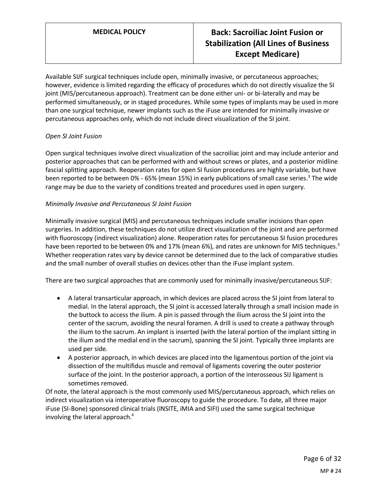Available SIJF surgical techniques include open, minimally invasive, or percutaneous approaches; however, evidence is limited regarding the efficacy of procedures which do not directly visualize the SI joint (MIS/percutaneous approach). Treatment can be done either uni- or bi-laterally and may be performed simultaneously, or in staged procedures. While some types of implants may be used in more than one surgical technique, newer implants such as the iFuse are intended for minimally invasive or percutaneous approaches only, which do not include direct visualization of the SI joint.

## *Open SI Joint Fusion*

Open surgical techniques involve direct visualization of the sacroiliac joint and may include anterior and posterior approaches that can be performed with and without screws or plates, and a posterior midline fascial splitting approach. Reoperation rates for open SI fusion procedures are highly variable, but have been reported to be between 0% - 65% (mean 15%) in early publications of small case series.<sup>3</sup> The wide range may be due to the variety of conditions treated and procedures used in open surgery.

### *Minimally Invasive and Percutaneous SI Joint Fusion*

Minimally invasive surgical (MIS) and percutaneous techniques include smaller incisions than open surgeries. In addition, these techniques do not utilize direct visualization of the joint and are performed with fluoroscopy (indirect visualization) alone. Reoperation rates for percutaneous SI fusion procedures have been reported to be between 0% and 17% (mean 6%), and rates are unknown for MIS techniques.<sup>3</sup> Whether reoperation rates vary by device cannot be determined due to the lack of comparative studies and the small number of overall studies on devices other than the iFuse implant system.

There are two surgical approaches that are commonly used for minimally invasive/percutaneous SIJF:

- A lateral transarticular approach, in which devices are placed across the SI joint from lateral to medial. In the lateral approach, the SI joint is accessed laterally through a small incision made in the buttock to access the ilium. A pin is passed through the ilium across the SI joint into the center of the sacrum, avoiding the neural foramen. A drill is used to create a pathway through the ilium to the sacrum. An implant is inserted (with the lateral portion of the implant sitting in the ilium and the medial end in the sacrum), spanning the SI joint. Typically three implants are used per side.
- A posterior approach, in which devices are placed into the ligamentous portion of the joint via dissection of the multifidus muscle and removal of ligaments covering the outer posterior surface of the joint. In the posterior approach, a portion of the interosseous SIJ ligament is sometimes removed.

Of note, the lateral approach is the most commonly used MIS/percutaneous approach, which relies on indirect visualization via interoperative fluoroscopy to guide the procedure. To date, all three major iFuse (SI-Bone) sponsored clinical trials (INSITE, iMIA and SIFI) used the same surgical technique involving the lateral approach.<sup>4</sup>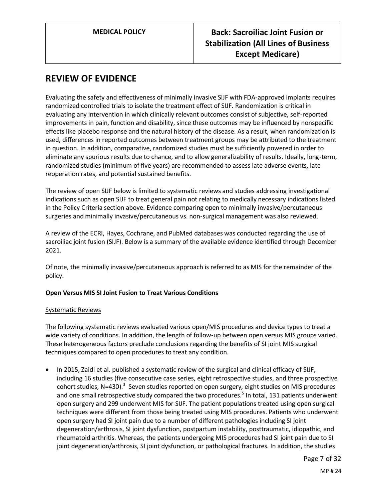# **REVIEW OF EVIDENCE**

Evaluating the safety and effectiveness of minimally invasive SIJF with FDA-approved implants requires randomized controlled trials to isolate the treatment effect of SIJF. Randomization is critical in evaluating any intervention in which clinically relevant outcomes consist of subjective, self-reported improvements in pain, function and disability, since these outcomes may be influenced by nonspecific effects like placebo response and the natural history of the disease. As a result, when randomization is used, differences in reported outcomes between treatment groups may be attributed to the treatment in question. In addition, comparative, randomized studies must be sufficiently powered in order to eliminate any spurious results due to chance, and to allow generalizability of results. Ideally, long-term, randomized studies (minimum of five years) are recommended to assess late adverse events, late reoperation rates, and potential sustained benefits.

The review of open SIJF below is limited to systematic reviews and studies addressing investigational indications such as open SIJF to treat general pain not relating to medically necessary indications listed in the Policy Criteria section above. Evidence comparing open to minimally invasive/percutaneous surgeries and minimally invasive/percutaneous vs. non-surgical management was also reviewed.

A review of the ECRI, Hayes, Cochrane, and PubMed databases was conducted regarding the use of sacroiliac joint fusion (SIJF). Below is a summary of the available evidence identified through December 2021.

Of note, the minimally invasive/percutaneous approach is referred to as MIS for the remainder of the policy.

## **Open Versus MIS SI Joint Fusion to Treat Various Conditions**

### Systematic Reviews

The following systematic reviews evaluated various open/MIS procedures and device types to treat a wide variety of conditions. In addition, the length of follow-up between open versus MIS groups varied. These heterogeneous factors preclude conclusions regarding the benefits of SI joint MIS surgical techniques compared to open procedures to treat any condition.

• In 2015, Zaidi et al. published a systematic review of the surgical and clinical efficacy of SIJF, including 16 studies (five consecutive case series, eight retrospective studies, and three prospective cohort studies, N=430).<sup>3</sup> Seven studies reported on open surgery, eight studies on MIS procedures and one small retrospective study compared the two procedures.<sup>5</sup> In total, 131 patients underwent open surgery and 299 underwent MIS for SIJF. The patient populations treated using open surgical techniques were different from those being treated using MIS procedures. Patients who underwent open surgery had SI joint pain due to a number of different pathologies including SI joint degeneration/arthrosis, SI joint dysfunction, postpartum instability, posttraumatic, idiopathic, and rheumatoid arthritis. Whereas, the patients undergoing MIS procedures had SI joint pain due to SI joint degeneration/arthrosis, SI joint dysfunction, or pathological fractures. In addition, the studies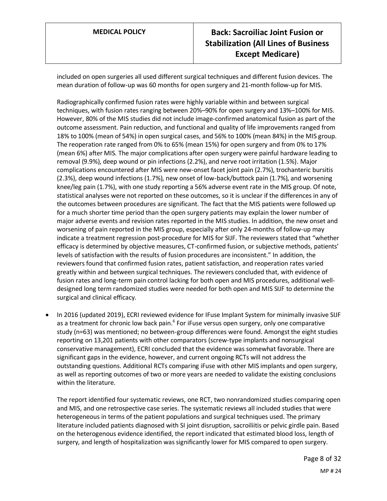included on open surgeries all used different surgical techniques and different fusion devices. The mean duration of follow-up was 60 months for open surgery and 21-month follow-up for MIS.

Radiographically confirmed fusion rates were highly variable within and between surgical techniques, with fusion rates ranging between 20%–90% for open surgery and 13%–100% for MIS. However, 80% of the MIS studies did not include image-confirmed anatomical fusion as part of the outcome assessment. Pain reduction, and functional and quality of life improvements ranged from 18% to 100% (mean of 54%) in open surgical cases, and 56% to 100% (mean 84%) in the MIS group. The reoperation rate ranged from 0% to 65% (mean 15%) for open surgery and from 0% to 17% (mean 6%) after MIS. The major complications after open surgery were painful hardware leading to removal (9.9%), deep wound or pin infections (2.2%), and nerve root irritation (1.5%). Major complications encountered after MIS were new-onset facet joint pain (2.7%), trochanteric bursitis (2.3%), deep wound infections (1.7%), new onset of low-back/buttock pain (1.7%), and worsening knee/leg pain (1.7%), with one study reporting a 56% adverse event rate in the MIS group. Of note, statistical analyses were not reported on these outcomes, so it is unclear if the differences in any of the outcomes between procedures are significant. The fact that the MIS patients were followed up for a much shorter time period than the open surgery patients may explain the lower number of major adverse events and revision rates reported in the MIS studies. In addition, the new onset and worsening of pain reported in the MIS group, especially after only 24-months of follow-up may indicate a treatment regression post-procedure for MIS for SIJF. The reviewers stated that "whether efficacy is determined by objective measures, CT-confirmed fusion, or subjective methods, patients' levels of satisfaction with the results of fusion procedures are inconsistent." In addition, the reviewers found that confirmed fusion rates, patient satisfaction, and reoperation rates varied greatly within and between surgical techniques. The reviewers concluded that, with evidence of fusion rates and long-term pain control lacking for both open and MIS procedures, additional welldesigned long term randomized studies were needed for both open and MIS SIJF to determine the surgical and clinical efficacy.

• In 2016 (updated 2019), ECRI reviewed evidence for IFuse Implant System for minimally invasive SIJF as a treatment for chronic low back pain.<sup>6</sup> For iFuse versus open surgery, only one comparative study (n=63) was mentioned; no between-group differences were found. Amongst the eight studies reporting on 13,201 patients with other comparators (screw-type implants and nonsurgical conservative management), ECRI concluded that the evidence was somewhat favorable. There are significant gaps in the evidence, however, and current ongoing RCTs will not address the outstanding questions. Additional RCTs comparing iFuse with other MIS implants and open surgery, as well as reporting outcomes of two or more years are needed to validate the existing conclusions within the literature.

The report identified four systematic reviews, one RCT, two nonrandomized studies comparing open and MIS, and one retrospective case series. The systematic reviews all included studies that were heterogeneous in terms of the patient populations and surgical techniques used. The primary literature included patients diagnosed with SI joint disruption, sacroiliitis or pelvic girdle pain. Based on the heterogenous evidence identified, the report indicated that estimated blood loss, length of surgery, and length of hospitalization was significantly lower for MIS compared to open surgery.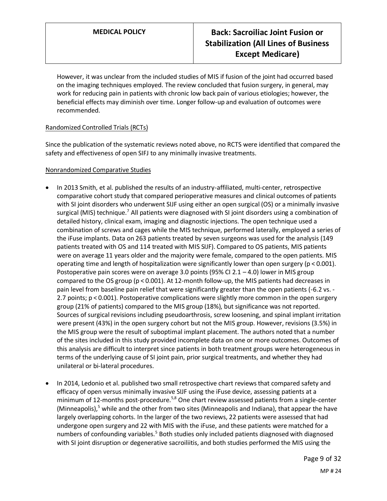However, it was unclear from the included studies of MIS if fusion of the joint had occurred based on the imaging techniques employed. The review concluded that fusion surgery, in general, may work for reducing pain in patients with chronic low back pain of various etiologies; however, the beneficial effects may diminish over time. Longer follow-up and evaluation of outcomes were recommended.

## Randomized Controlled Trials (RCTs)

Since the publication of the systematic reviews noted above, no RCTS were identified that compared the safety and effectiveness of open SIFJ to any minimally invasive treatments.

## Nonrandomized Comparative Studies

- In 2013 Smith, et al. published the results of an industry-affiliated, multi-center, retrospective comparative cohort study that compared perioperative measures and clinical outcomes of patients with SI joint disorders who underwent SIJF using either an open surgical (OS) or a minimally invasive surgical (MIS) technique.<sup>7</sup> All patients were diagnosed with SI joint disorders using a combination of detailed history, clinical exam, imaging and diagnostic injections. The open technique used a combination of screws and cages while the MIS technique, performed laterally, employed a series of the iFuse implants. Data on 263 patients treated by seven surgeons was used for the analysis (149 patients treated with OS and 114 treated with MIS SIJF). Compared to OS patients, MIS patients were on average 11 years older and the majority were female, compared to the open patients. MIS operating time and length of hospitalization were significantly lower than open surgery (p < 0.001). Postoperative pain scores were on average 3.0 points (95% CI 2.1 – 4.0) lower in MIS group compared to the OS group (p < 0.001). At 12-month follow-up, the MIS patients had decreases in pain level from baseline pain relief that were significantly greater than the open patients (-6.2 vs. - 2.7 points; p < 0.001). Postoperative complications were slightly more common in the open surgery group (21% of patients) compared to the MIS group (18%), but significance was not reported. Sources of surgical revisions including pseudoarthrosis, screw loosening, and spinal implant irritation were present (43%) in the open surgery cohort but not the MIS group. However, revisions (3.5%) in the MIS group were the result of suboptimal implant placement. The authors noted that a number of the sites included in this study provided incomplete data on one or more outcomes. Outcomes of this analysis are difficult to interpret since patients in both treatment groups were heterogeneous in terms of the underlying cause of SI joint pain, prior surgical treatments, and whether they had unilateral or bi-lateral procedures.
- In 2014, Ledonio et al. published two small retrospective chart reviews that compared safety and efficacy of open versus minimally invasive SIJF using the iFuse device, assessing patients at a minimum of 12-months post-procedure.<sup>5,8</sup> One chart review assessed patients from a single-center (Minneapolis), $5$  while and the other from two sites (Minneapolis and Indiana), that appear the have largely overlapping cohorts. In the larger of the two reviews, 22 patients were assessed that had undergone open surgery and 22 with MIS with the iFuse, and these patients were matched for a numbers of confounding variables.<sup>5</sup> Both studies only included patients diagnosed with diagnosed with SI joint disruption or degenerative sacroiliitis, and both studies performed the MIS using the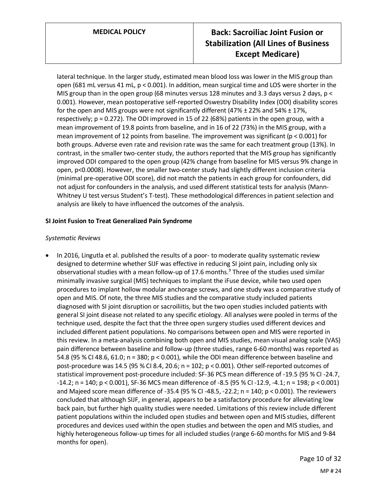lateral technique. In the larger study, estimated mean blood loss was lower in the MIS group than open (681 mL versus 41 mL, p < 0.001). In addition, mean surgical time and LOS were shorter in the MIS group than in the open group (68 minutes versus 128 minutes and 3.3 days versus 2 days, p < 0.001). However, mean postoperative self-reported Oswestry Disability Index (ODI) disability scores for the open and MIS groups were not significantly different  $(47% \pm 22%$  and 54%  $\pm 17%$ , respectively; p = 0.272). The ODI improved in 15 of 22 (68%) patients in the open group, with a mean improvement of 19.8 points from baseline, and in 16 of 22 (73%) in the MIS group, with a mean improvement of 12 points from baseline. The improvement was significant ( $p < 0.001$ ) for both groups. Adverse even rate and revision rate was the same for each treatment group (13%). In contrast, in the smaller two-center study, the authors reported that the MIS group has significantly improved ODI compared to the open group (42% change from baseline for MIS versus 9% change in open, p<0.0008). However, the smaller two-center study had slightly different inclusion criteria (minimal pre-operative ODI score), did not match the patients in each group for confounders, did not adjust for confounders in the analysis, and used different statistical tests for analysis (Mann-Whitney U test versus Student's T-test). These methodological differences in patient selection and analysis are likely to have influenced the outcomes of the analysis.

## **SI Joint Fusion to Treat Generalized Pain Syndrome**

## *Systematic Reviews*

• In 2016, Lingutla et al. published the results of a poor- to moderate quality systematic review designed to determine whether SIJF was effective in reducing SI joint pain, including only six observational studies with a mean follow-up of 17.6 months. $^9$  Three of the studies used similar minimally invasive surgical (MIS) techniques to implant the iFuse device, while two used open procedures to implant hollow modular anchorage screws, and one study was a comparative study of open and MIS. Of note, the three MIS studies and the comparative study included patients diagnosed with SI joint disruption or sacroiliitis, but the two open studies included patients with general SI joint disease not related to any specific etiology. All analyses were pooled in terms of the technique used, despite the fact that the three open surgery studies used different devices and included different patient populations. No comparisons between open and MIS were reported in this review. In a meta-analysis combining both open and MIS studies, mean visual analog scale (VAS) pain difference between baseline and follow-up (three studies, range 6-60 months) was reported as 54.8 (95 % CI 48.6, 61.0; n = 380; p < 0.001), while the ODI mean difference between baseline and post-procedure was 14.5 (95 % CI 8.4, 20.6; n = 102; p < 0.001). Other self-reported outcomes of statistical improvement post-procedure included: SF-36 PCS mean difference of -19.5 (95 % CI -24.7, -14.2; n = 140; p < 0.001), SF-36 MCS mean difference of -8.5 (95 % CI -12.9, -4.1; n = 198; p < 0.001) and Majeed score mean difference of -35.4 (95 % CI -48.5, -22.2; n = 140;  $p < 0.001$ ). The reviewers concluded that although SIJF, in general, appears to be a satisfactory procedure for alleviating low back pain, but further high quality studies were needed. Limitations of this review include different patient populations within the included open studies and between open and MIS studies, different procedures and devices used within the open studies and between the open and MIS studies, and highly heterogeneous follow-up times for all included studies (range 6-60 months for MIS and 9-84 months for open).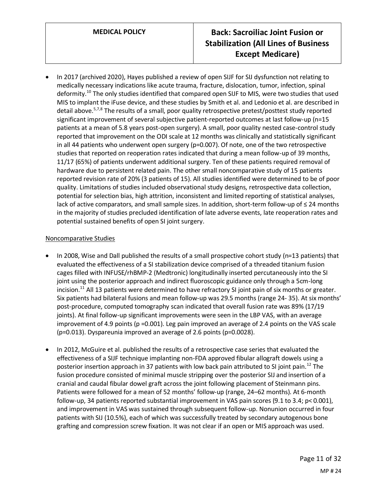• In 2017 (archived 2020), Hayes published a review of open SIJF for SIJ dysfunction not relating to medically necessary indications like acute trauma, fracture, dislocation, tumor, infection, spinal deformity.<sup>10</sup> The only studies identified that compared open SIJF to MIS, were two studies that used MIS to implant the iFuse device, and these studies by Smith et al. and Ledonio et al. are described in detail above.<sup>5,7,8</sup> The results of a small, poor quality retrospective pretest/posttest study reported significant improvement of several subjective patient-reported outcomes at last follow-up (n=15 patients at a mean of 5.8 years post-open surgery). A small, poor quality nested case-control study reported that improvement on the ODI scale at 12 months was clinically and statistically significant in all 44 patients who underwent open surgery (p=0.007). Of note, one of the two retrospective studies that reported on reoperation rates indicated that during a mean follow-up of 39 months, 11/17 (65%) of patients underwent additional surgery. Ten of these patients required removal of hardware due to persistent related pain. The other small noncomparative study of 15 patients reported revision rate of 20% (3 patients of 15). All studies identified were determined to be of poor quality. Limitations of studies included observational study designs, retrospective data collection, potential for selection bias, high attrition, inconsistent and limited reporting of statistical analyses, lack of active comparators, and small sample sizes. In addition, short-term follow-up of ≤ 24 months in the majority of studies precluded identification of late adverse events, late reoperation rates and potential sustained benefits of open SI joint surgery.

## Noncomparative Studies

- In 2008, Wise and Dall published the results of a small prospective cohort study (n=13 patients) that evaluated the effectiveness of a SI stabilization device comprised of a threaded titanium fusion cages filled with INFUSE/rhBMP-2 (Medtronic) longitudinally inserted percutaneously into the SI joint using the posterior approach and indirect fluoroscopic guidance only through a 5cm-long incision.<sup>11</sup> All 13 patients were determined to have refractory SI joint pain of six months or greater. Six patients had bilateral fusions and mean follow-up was 29.5 months (range 24- 35). At six months' post-procedure, computed tomography scan indicated that overall fusion rate was 89% (17/19 joints). At final follow-up significant improvements were seen in the LBP VAS, with an average improvement of 4.9 points (p =0.001). Leg pain improved an average of 2.4 points on the VAS scale (p=0.013). Dyspareunia improved an average of 2.6 points (p=0.0028).
- In 2012, McGuire et al. published the results of a retrospective case series that evaluated the effectiveness of a SIJF technique implanting non-FDA approved fibular allograft dowels using a posterior insertion approach in 37 patients with low back pain attributed to SI joint pain.<sup>12</sup> The fusion procedure consisted of minimal muscle stripping over the posterior SIJ and insertion of a cranial and caudal fibular dowel graft across the joint following placement of Steinmann pins. Patients were followed for a mean of 52 months' follow-up (range, 24–62 months). At 6-month follow-up, 34 patients reported substantial improvement in VAS pain scores (9.1 to 3.4; p< 0.001), and improvement in VAS was sustained through subsequent follow-up. Nonunion occurred in four patients with SIJ (10.5%), each of which was successfully treated by secondary autogenous bone grafting and compression screw fixation. It was not clear if an open or MIS approach was used.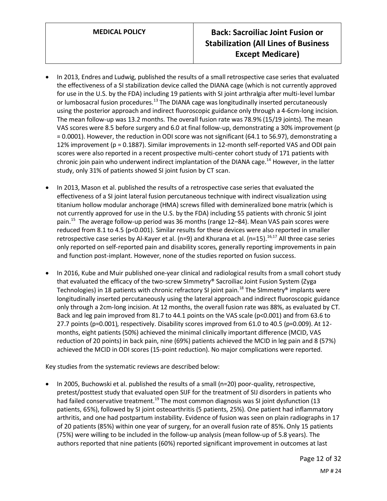- In 2013, Endres and Ludwig, published the results of a small retrospective case series that evaluated the effectiveness of a SI stabilization device called the DIANA cage (which is not currently approved for use in the U.S. by the FDA) including 19 patients with SI joint arthralgia after multi-level lumbar or lumbosacral fusion procedures.<sup>13</sup> The DIANA cage was longitudinally inserted percutaneously using the posterior approach and indirect fluoroscopic guidance only through a 4-6cm-long incision. The mean follow-up was 13.2 months. The overall fusion rate was 78.9% (15/19 joints). The mean VAS scores were 8.5 before surgery and 6.0 at final follow-up, demonstrating a 30% improvement (p = 0.0001). However, the reduction in ODI score was not significant (64.1 to 56.97), demonstrating a 12% improvement (p = 0.1887). Similar improvements in 12-month self-reported VAS and ODI pain scores were also reported in a recent prospective multi-center cohort study of 171 patients with chronic join pain who underwent indirect implantation of the DIANA cage.<sup>14</sup> However, in the latter study, only 31% of patients showed SI joint fusion by CT scan.
- In 2013, Mason et al. published the results of a retrospective case series that evaluated the effectiveness of a SI joint lateral fusion percutaneous technique with indirect visualization using titanium hollow modular anchorage (HMA) screws filled with demineralized bone matrix (which is not currently approved for use in the U.S. by the FDA) including 55 patients with chronic SI joint pain.<sup>15</sup> The average follow-up period was 36 months (range 12–84). Mean VAS pain scores were reduced from 8.1 to 4.5 (p<0.001). Similar results for these devices were also reported in smaller retrospective case series by Al-Kayer et al. (n=9) and Khurana et al. (n=15).<sup>16,17</sup> All three case series only reported on self-reported pain and disability scores, generally reporting improvements in pain and function post-implant. However, none of the studies reported on fusion success.
- In 2016, Kube and Muir published one-year clinical and radiological results from a small cohort study that evaluated the efficacy of the two-screw SImmetry® Sacroiliac Joint Fusion System (Zyga Technologies) in 18 patients with chronic refractory SI joint pain.<sup>18</sup> The SImmetry® implants were longitudinally inserted percutaneously using the lateral approach and indirect fluoroscopic guidance only through a 2cm-long incision. At 12 months, the overall fusion rate was 88%, as evaluated by CT. Back and leg pain improved from 81.7 to 44.1 points on the VAS scale (p<0.001) and from 63.6 to 27.7 points (p=0.001), respectively. Disability scores improved from 61.0 to 40.5 (p=0.009). At 12 months, eight patients (50%) achieved the minimal clinically important difference (MCID, VAS reduction of 20 points) in back pain, nine (69%) patients achieved the MCID in leg pain and 8 (57%) achieved the MCID in ODI scores (15-point reduction). No major complications were reported.

Key studies from the systematic reviews are described below:

• In 2005, Buchowski et al. published the results of a small (n=20) poor-quality, retrospective, pretest/posttest study that evaluated open SIJF for the treatment of SIJ disorders in patients who had failed conservative treatment.<sup>19</sup> The most common diagnosis was SI joint dysfunction (13 patients, 65%), followed by SI joint osteoarthritis (5 patients, 25%). One patient had inflammatory arthritis, and one had postpartum instability. Evidence of fusion was seen on plain radiographs in 17 of 20 patients (85%) within one year of surgery, for an overall fusion rate of 85%. Only 15 patients (75%) were willing to be included in the follow-up analysis (mean follow-up of 5.8 years). The authors reported that nine patients (60%) reported significant improvement in outcomes at last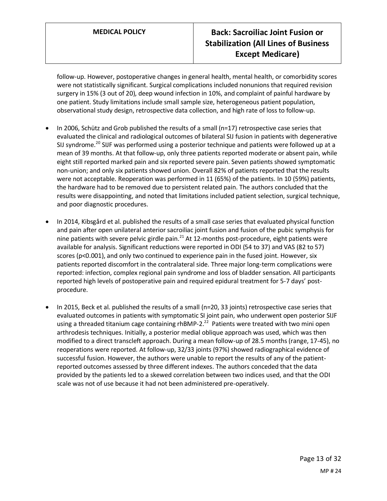follow-up. However, postoperative changes in general health, mental health, or comorbidity scores were not statistically significant. Surgical complications included nonunions that required revision surgery in 15% (3 out of 20), deep wound infection in 10%, and complaint of painful hardware by one patient. Study limitations include small sample size, heterogeneous patient population, observational study design, retrospective data collection, and high rate of loss to follow-up.

- In 2006, Schütz and Grob published the results of a small (n=17) retrospective case series that evaluated the clinical and radiological outcomes of bilateral SIJ fusion in patients with degenerative SIJ syndrome.<sup>20</sup> SIJF was performed using a posterior technique and patients were followed up at a mean of 39 months. At that follow-up, only three patients reported moderate or absent pain, while eight still reported marked pain and six reported severe pain. Seven patients showed symptomatic non-union; and only six patients showed union. Overall 82% of patients reported that the results were not acceptable. Reoperation was performed in 11 (65%) of the patients. In 10 (59%) patients, the hardware had to be removed due to persistent related pain. The authors concluded that the results were disappointing, and noted that limitations included patient selection, surgical technique, and poor diagnostic procedures.
- In 2014, Kibsgård et al. published the results of a small case series that evaluated physical function and pain after open unilateral anterior sacroiliac joint fusion and fusion of the pubic symphysis for nine patients with severe pelvic girdle pain. $^{21}$  At 12-months post-procedure, eight patients were available for analysis. Significant reductions were reported in ODI (54 to 37) and VAS (82 to 57) scores (p<0.001), and only two continued to experience pain in the fused joint. However, six patients reported discomfort in the contralateral side. Three major long-term complications were reported: infection, complex regional pain syndrome and loss of bladder sensation. All participants reported high levels of postoperative pain and required epidural treatment for 5-7 days' postprocedure.
- In 2015, Beck et al. published the results of a small (n=20, 33 joints) retrospective case series that evaluated outcomes in patients with symptomatic SI joint pain, who underwent open posterior SIJF using a threaded titanium cage containing rhBMP-2.<sup>22</sup> Patients were treated with two mini open arthrodesis techniques. Initially, a posterior medial oblique approach was used, which was then modified to a direct transcleft approach. During a mean follow-up of 28.5 months (range, 17-45), no reoperations were reported. At follow-up, 32/33 joints (97%) showed radiographical evidence of successful fusion. However, the authors were unable to report the results of any of the patientreported outcomes assessed by three different indexes. The authors conceded that the data provided by the patients led to a skewed correlation between two indices used, and that the ODI scale was not of use because it had not been administered pre-operatively.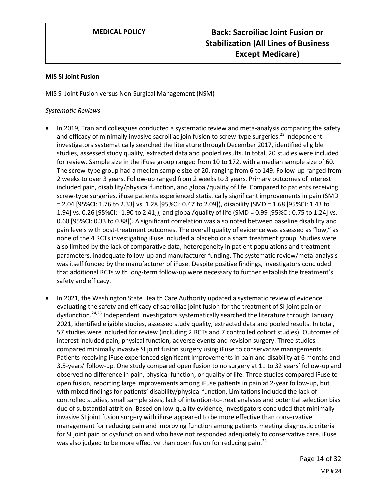### **MIS SI Joint Fusion**

### MIS SI Joint Fusion versus Non-Surgical Management (NSM)

### *Systematic Reviews*

- In 2019, Tran and colleagues conducted a systematic review and meta-analysis comparing the safety and efficacy of minimally invasive sacroiliac join fusion to screw-type surgeries.<sup>23</sup> Independent investigators systematically searched the literature through December 2017, identified eligible studies, assessed study quality, extracted data and pooled results. In total, 20 studies were included for review. Sample size in the iFuse group ranged from 10 to 172, with a median sample size of 60. The screw-type group had a median sample size of 20, ranging from 6 to 149. Follow-up ranged from 2 weeks to over 3 years. Follow-up ranged from 2 weeks to 3 years. Primary outcomes of interest included pain, disability/physical function, and global/quality of life. Compared to patients receiving screw-type surgeries, iFuse patients experienced statistically significant improvements in pain (SMD = 2.04 [95%CI: 1.76 to 2.33] vs. 1.28 [95%CI: 0.47 to 2.09]), disability (SMD = 1.68 [95%CI: 1.43 to 1.94] vs. 0.26 [95%CI: -1.90 to 2.41]), and global/quality of life (SMD = 0.99 [95%CI: 0.75 to 1.24] vs. 0.60 [95%CI: 0.33 to 0.88]). A significant correlation was also noted between baseline disability and pain levels with post-treatment outcomes. The overall quality of evidence was assessed as "low," as none of the 4 RCTs investigating iFuse included a placebo or a sham treatment group. Studies were also limited by the lack of comparative data, heterogeneity in patient populations and treatment parameters, inadequate follow-up and manufacturer funding. The systematic review/meta-analysis was itself funded by the manufacturer of iFuse. Despite positive findings, investigators concluded that additional RCTs with long-term follow-up were necessary to further establish the treatment's safety and efficacy.
- In 2021, the Washington State Health Care Authority updated a systematic review of evidence evaluating the safety and efficacy of sacroiliac joint fusion for the treatment of SI joint pain or dysfunction.<sup>24,25</sup> Independent investigators systematically searched the literature through January 2021, identified eligible studies, assessed study quality, extracted data and pooled results. In total, 57 studies were included for review (including 2 RCTs and 7 controlled cohort studies). Outcomes of interest included pain, physical function, adverse events and revision surgery. Three studies compared minimally invasive SI joint fusion surgery using iFuse to conservative managements. Patients receiving iFuse experienced significant improvements in pain and disability at 6 months and 3.5-years' follow-up. One study compared open fusion to no surgery at 11 to 32 years' follow-up and observed no difference in pain, physical function, or quality of life. Three studies compared iFuse to open fusion, reporting large improvements among iFuse patients in pain at 2-year follow-up, but with mixed findings for patients' disability/physical function. Limitations included the lack of controlled studies, small sample sizes, lack of intention-to-treat analyses and potential selection bias due of substantial attrition. Based on low-quality evidence, investigators concluded that minimally invasive SI joint fusion surgery with iFuse appeared to be more effective than conservative management for reducing pain and improving function among patients meeting diagnostic criteria for SI joint pain or dysfunction and who have not responded adequately to conservative care. iFuse was also judged to be more effective than open fusion for reducing pain.<sup>24</sup>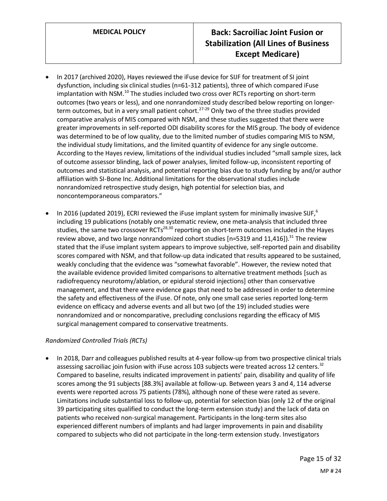- In 2017 (archived 2020), Hayes reviewed the iFuse device for SIJF for treatment of SI joint dysfunction, including six clinical studies (n=61-312 patients), three of which compared iFuse implantation with NSM.<sup>10</sup> The studies included two cross over RCTs reporting on short-term outcomes (two years or less), and one nonrandomized study described below reporting on longerterm outcomes, but in a very small patient cohort.<sup>27-29</sup> Only two of the three studies provided comparative analysis of MIS compared with NSM, and these studies suggested that there were greater improvements in self-reported ODI disability scores for the MIS group. The body of evidence was determined to be of low quality, due to the limited number of studies comparing MIS to NSM, the individual study limitations, and the limited quantity of evidence for any single outcome. According to the Hayes review, limitations of the individual studies included "small sample sizes, lack of outcome assessor blinding, lack of power analyses, limited follow-up, inconsistent reporting of outcomes and statistical analysis, and potential reporting bias due to study funding by and/or author affiliation with SI-Bone Inc. Additional limitations for the observational studies include nonrandomized retrospective study design, high potential for selection bias, and noncontemporaneous comparators."
- In 2016 (updated 2019), ECRI reviewed the iFuse implant system for minimally invasive SIJF, $<sup>6</sup>$ </sup> including 19 publications (notably one systematic review, one meta-analysis that included three studies, the same two crossover RCTs<sup>28,30</sup> reporting on short-term outcomes included in the Hayes review above, and two large nonrandomized cohort studies  $[n=5319$  and  $11,416]$ ).<sup>31</sup> The review stated that the iFuse implant system appears to improve subjective, self-reported pain and disability scores compared with NSM, and that follow-up data indicated that results appeared to be sustained, weakly concluding that the evidence was "somewhat favorable". However, the review noted that the available evidence provided limited comparisons to alternative treatment methods [such as radiofrequency neurotomy/ablation, or epidural steroid injections] other than conservative management, and that there were evidence gaps that need to be addressed in order to determine the safety and effectiveness of the iFuse. Of note, only one small case series reported long-term evidence on efficacy and adverse events and all but two (of the 19) included studies were nonrandomized and or noncomparative, precluding conclusions regarding the efficacy of MIS surgical management compared to conservative treatments.

## *Randomized Controlled Trials (RCTs)*

• In 2018, Darr and colleagues published results at 4-year follow-up from two prospective clinical trials assessing sacroiliac join fusion with iFuse across 103 subjects were treated across 12 centers.<sup>32</sup> Compared to baseline, results indicated improvement in patients' pain, disability and quality of life scores among the 91 subjects [88.3%] available at follow-up. Between years 3 and 4, 114 adverse events were reported across 75 patients (78%), although none of these were rated as severe. Limitations include substantial loss to follow-up, potential for selection bias (only 12 of the original 39 participating sites qualified to conduct the long-term extension study) and the lack of data on patients who received non-surgical management. Participants in the long-term sites also experienced different numbers of implants and had larger improvements in pain and disability compared to subjects who did not participate in the long-term extension study. Investigators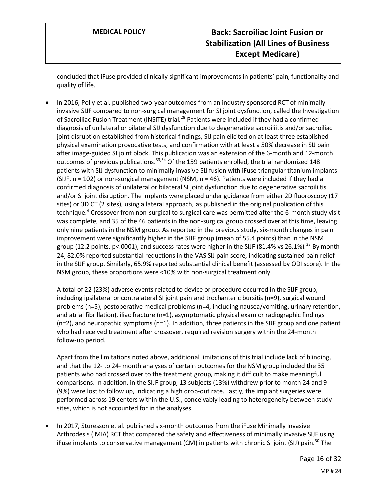concluded that iFuse provided clinically significant improvements in patients' pain, functionality and quality of life.

• In 2016, Polly et al. published two-year outcomes from an industry sponsored RCT of minimally invasive SIJF compared to non-surgical management for SI joint dysfunction, called the Investigation of Sacroiliac Fusion Treatment (INSITE) trial.<sup>28</sup> Patients were included if they had a confirmed diagnosis of unilateral or bilateral SIJ dysfunction due to degenerative sacroiliitis and/or sacroiliac joint disruption established from historical findings, SIJ pain elicited on at least three established physical examination provocative tests, and confirmation with at least a 50% decrease in SIJ pain after image-guided SI joint block. This publication was an extension of the 6-month and 12-month outcomes of previous publications.<sup>33,34</sup> Of the 159 patients enrolled, the trial randomized 148 patients with SIJ dysfunction to minimally invasive SIJ fusion with iFuse triangular titanium implants (SIJF,  $n = 102$ ) or non-surgical management (NSM,  $n = 46$ ). Patients were included if they had a confirmed diagnosis of unilateral or bilateral SI joint dysfunction due to degenerative sacroiliitis and/or SI joint disruption. The implants were placed under guidance from either 2D fluoroscopy (17 sites) or 3D CT (2 sites), using a lateral approach, as published in the original publication of this technique.<sup>4</sup> Crossover from non-surgical to surgical care was permitted after the 6-month study visit was complete, and 35 of the 46 patients in the non-surgical group crossed over at this time, leaving only nine patients in the NSM group. As reported in the previous study, six-month changes in pain improvement were significantly higher in the SIJF group (mean of 55.4 points) than in the NSM group (12.2 points, p<.0001), and success rates were higher in the SIJF (81.4% vs 26.1%).<sup>33</sup> By month 24, 82.0% reported substantial reductions in the VAS SIJ pain score, indicating sustained pain relief in the SIJF group. Similarly, 65.9% reported substantial clinical benefit (assessed by ODI score). In the NSM group, these proportions were <10% with non-surgical treatment only.

A total of 22 (23%) adverse events related to device or procedure occurred in the SIJF group, including ipsilateral or contralateral SI joint pain and trochanteric bursitis (n=9), surgical wound problems (n=5), postoperative medical problems (n=4, including nausea/vomiting, urinary retention, and atrial fibrillation), iliac fracture (n=1), asymptomatic physical exam or radiographic findings (n=2), and neuropathic symptoms (n=1). In addition, three patients in the SIJF group and one patient who had received treatment after crossover, required revision surgery within the 24-month follow-up period.

Apart from the limitations noted above, additional limitations of this trial include lack of blinding, and that the 12- to 24- month analyses of certain outcomes for the NSM group included the 35 patients who had crossed over to the treatment group, making it difficult to make meaningful comparisons. In addition, in the SIJF group, 13 subjects (13%) withdrew prior to month 24 and 9 (9%) were lost to follow up, indicating a high drop-out rate. Lastly, the implant surgeries were performed across 19 centers within the U.S., conceivably leading to heterogeneity between study sites, which is not accounted for in the analyses.

• In 2017, Sturesson et al. published six-month outcomes from the iFuse Minimally Invasive Arthrodesis (iMIA) RCT that compared the safety and effectiveness of minimally invasive SIJF using iFuse implants to conservative management (CM) in patients with chronic SI joint (SIJ) pain.<sup>30</sup> The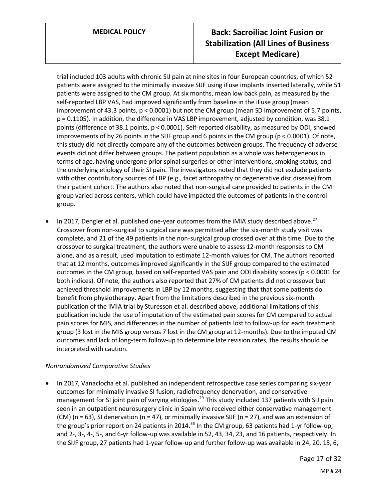trial included 103 adults with chronic SIJ pain at nine sites in four European countries, of which 52 patients were assigned to the minimally invasive SIJF using iFuse implants inserted laterally, while 51 patients were assigned to the CM group. At six months, mean low back pain, as measured by the self-reported LBP VAS, had improved significantly from baseline in the iFuse group (mean improvement of 43.3 points, p < 0.0001) but not the CM group (mean SD improvement of 5.7 points, p = 0.1105). In addition, the difference in VAS LBP improvement, adjusted by condition, was 38.1 points (difference of 38.1 points, p < 0.0001). Self-reported disability, as measured by ODI, showed improvements of by 26 points in the SIJF group and 6 points in the CM group (p < 0.0001). Of note, this study did not directly compare any of the outcomes between groups. The frequency of adverse events did not differ between groups. The patient population as a whole was heterogeneous in terms of age, having undergone prior spinal surgeries or other interventions, smoking status, and the underlying etiology of their SI pain. The investigators noted that they did not exclude patients with other contributory sources of LBP (e.g., facet arthropathy or degenerative disc disease) from their patient cohort. The authors also noted that non-surgical care provided to patients in the CM group varied across centers, which could have impacted the outcomes of patients in the control group.

 $\bullet$  In 2017, Dengler et al. published one-year outcomes from the iMIA study described above.<sup>27</sup> Crossover from non-surgical to surgical care was permitted after the six-month study visit was complete, and 21 of the 49 patients in the non-surgical group crossed over at this time. Due to the crossover to surgical treatment, the authors were unable to assess 12-month responses to CM alone, and as a result, used imputation to estimate 12-month values for CM. The authors reported that at 12 months, outcomes improved significantly in the SIJF group compared to the estimated outcomes in the CM group, based on self-reported VAS pain and ODI disability scores (p < 0.0001 for both indices). Of note, the authors also reported that 27% of CM patients did not crossover but achieved threshold improvements in LBP by 12 months, suggesting that that some patients do benefit from physiotherapy. Apart from the limitations described in the previous six-month publication of the iMIA trial by Sturesson et al. described above, additional limitations of this publication include the use of imputation of the estimated pain scores for CM compared to actual pain scores for MIS, and differences in the number of patients lost to follow-up for each treatment group (3 lost in the MIS group versus 7 lost in the CM group at 12-months). Due to the imputed CM outcomes and lack of long-term follow-up to determine late revision rates, the results should be interpreted with caution.

## *Nonrandomized Comparative Studies*

• In 2017, Vanaclocha et al. published an independent retrospective case series comparing six-year outcomes for minimally invasive SI fusion, radiofrequency denervation, and conservative management for SI joint pain of varying etiologies.<sup>29</sup> This study included 137 patients with SIJ pain seen in an outpatient neurosurgery clinic in Spain who received either conservative management (CM) (n = 63), SI denervation (n = 47), or minimally invasive SIJF (n = 27), and was an extension of the group's prior report on 24 patients in 2014.<sup>35</sup> In the CM group, 63 patients had 1-yr follow-up, and 2-, 3-, 4-, 5-, and 6-yr follow-up was available in 52, 43, 34, 23, and 16 patients, respectively. In the SIJF group, 27 patients had 1-year follow-up and further follow-up was available in 24, 20, 15, 6,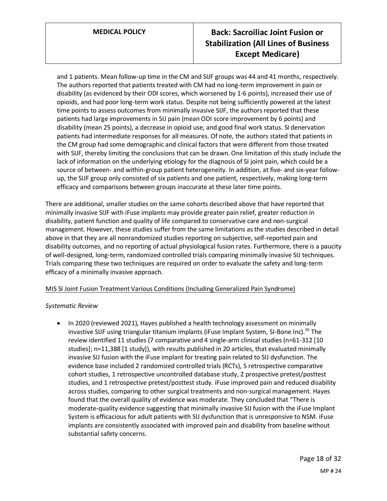and 1 patients. Mean follow-up time in the CM and SIJF groups was 44 and 41 months, respectively. The authors reported that patients treated with CM had no long-term improvement in pain or disability (as evidenced by their ODI scores, which worsened by 1-6 points), increased their use of opioids, and had poor long-term work status. Despite not being sufficiently powered at the latest time points to assess outcomes from minimally invasive SIJF, the authors reported that these patients had large improvements in SIJ pain (mean ODI score improvement by 6 points) and disability (mean 25 points), a decrease in opioid use, and good final work status. SI denervation patients had intermediate responses for all measures. Of note, the authors stated that patients in the CM group had some demographic and clinical factors that were different from those treated with SIJF, thereby limiting the conclusions that can be drawn. One limitation of this study include the lack of information on the underlying etiology for the diagnosis of SI joint pain, which could be a source of between- and within-group patient heterogeneity. In addition, at five- and six-year followup, the SIJF group only consisted of six patients and one patient, respectively, making long-term efficacy and comparisons between groups inaccurate at these later time points.

There are additional, smaller studies on the same cohorts described above that have reported that minimally invasive SIJF with iFuse implants may provide greater pain relief, greater reduction in disability, patient function and quality of life compared to conservative care and non-surgical management. However, these studies suffer from the same limitations as the studies described in detail above in that they are all nonrandomized studies reporting on subjective, self-reported pain and disability outcomes, and no reporting of actual physiological fusion rates. Furthermore, there is a paucity of well-designed, long-term, randomized controlled trials comparing minimally invasive SIJ techniques. Trials comparing these two techniques are required on order to evaluate the safety and long-term efficacy of a minimally invasive approach.

## MIS SI Joint Fusion Treatment Various Conditions (Including Generalized Pain Syndrome)

### *Systematic Review*

• In 2020 (reviewed 2021), Hayes published a health technology assessment on minimally invastive SIJF using triangular titanium implants (iFuse Implant System, SI-Bone Inc).<sup>36</sup> The review identified 11 studies (7 comparative and 4 single-arm clinical studies (n=61-312 [10 studies]; n=11,388 [1 study]), with results published in 20 articles, that evaluated minimally invasive SIJ fusion with the iFuse implant for treating pain related to SIJ dysfunction. The evidence base included 2 randomized controlled trials (RCTs), 5 retrospective comparative cohort studies, 1 retrospective uncontrolled database study, 2 prospective pretest/posttest studies, and 1 retrospective pretest/posttest study. iFuse improved pain and reduced disability across studies, comparing to other surgical treatments and non-surgical management. Hayes found that the overall quality of evidence was moderate. They concluded that "There is moderate-quality evidence suggesting that minimally invasive SIJ fusion with the iFuse Implant System is efficacious for adult patients with SIJ dysfunction that is unresponsive to NSM. iFuse implants are consistently associated with improved pain and disability from baseline without substantial safety concerns.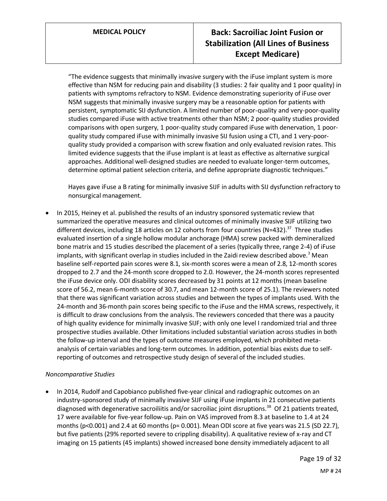"The evidence suggests that minimally invasive surgery with the iFuse implant system is more effective than NSM for reducing pain and disability (3 studies: 2 fair quality and 1 poor quality) in patients with symptoms refractory to NSM. Evidence demonstrating superiority of iFuse over NSM suggests that minimally invasive surgery may be a reasonable option for patients with persistent, symptomatic SIJ dysfunction. A limited number of poor-quality and very-poor-quality studies compared iFuse with active treatments other than NSM; 2 poor-quality studies provided comparisons with open surgery, 1 poor-quality study compared iFuse with denervation, 1 poorquality study compared iFuse with minimally invasive SIJ fusion using a CTI, and 1 very-poorquality study provided a comparison with screw fixation and only evaluated revision rates. This limited evidence suggests that the iFuse implant is at least as effective as alternative surgical approaches. Additional well-designed studies are needed to evaluate longer-term outcomes, determine optimal patient selection criteria, and define appropriate diagnostic techniques."

Hayes gave iFuse a B rating for minimally invasive SIJF in adults with SIJ dysfunction refractory to nonsurgical management.

• In 2015, Heiney et al. published the results of an industry sponsored systematic review that summarized the operative measures and clinical outcomes of minimally invasive SIJF utilizing two different devices, including 18 articles on 12 cohorts from four countries (N=432).<sup>37</sup> Three studies evaluated insertion of a single hollow modular anchorage (HMA) screw packed with demineralized bone matrix and 15 studies described the placement of a series (typically three, range 2-4) of iFuse implants, with significant overlap in studies included in the Zaidi review described above.<sup>3</sup> Mean baseline self-reported pain scores were 8.1, six-month scores were a mean of 2.8, 12-month scores dropped to 2.7 and the 24-month score dropped to 2.0. However, the 24-month scores represented the iFuse device only. ODI disability scores decreased by 31 points at 12 months (mean baseline score of 56.2, mean 6-month score of 30.7, and mean 12-month score of 25.1). The reviewers noted that there was significant variation across studies and between the types of implants used. With the 24-month and 36-month pain scores being specific to the iFuse and the HMA screws, respectively, it is difficult to draw conclusions from the analysis. The reviewers conceded that there was a paucity of high quality evidence for minimally invasive SIJF; with only one level I randomized trial and three prospective studies available. Other limitations included substantial variation across studies in both the follow-up interval and the types of outcome measures employed, which prohibited metaanalysis of certain variables and long-term outcomes. In addition, potential bias exists due to selfreporting of outcomes and retrospective study design of several of the included studies.

## *Noncomparative Studies*

• In 2014, Rudolf and Capobianco published five-year clinical and radiographic outcomes on an industry-sponsored study of minimally invasive SIJF using iFuse implants in 21 consecutive patients diagnosed with degenerative sacroiliitis and/or sacroiliac joint disruptions.<sup>38</sup> Of 21 patients treated, 17 were available for five-year follow-up. Pain on VAS improved from 8.3 at baseline to 1.4 at 24 months (p<0.001) and 2.4 at 60 months (p= 0.001). Mean ODI score at five years was 21.5 (SD 22.7), but five patients (29% reported severe to crippling disability). A qualitative review of x-ray and CT imaging on 15 patients (45 implants) showed increased bone density immediately adjacent to all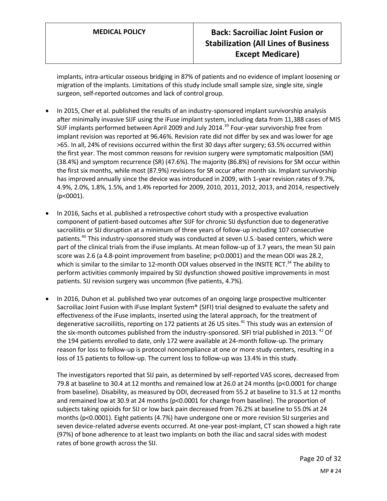implants, intra-articular osseous bridging in 87% of patients and no evidence of implant loosening or migration of the implants. Limitations of this study include small sample size, single site, single surgeon, self-reported outcomes and lack of control group.

- In 2015, Cher et al. published the results of an industry-sponsored implant survivorship analysis after minimally invasive SIJF using the iFuse implant system, including data from 11,388 cases of MIS SIJF implants performed between April 2009 and July 2014.<sup>39</sup> Four-year survivorship free from implant revision was reported at 96.46%. Revision rate did not differ by sex and was lower for age >65. In all, 24% of revisions occurred within the first 30 days after surgery; 63.5% occurred within the first year. The most common reasons for revision surgery were symptomatic malposition (SM) (38.4%) and symptom recurrence (SR) (47.6%). The majority (86.8%) of revisions for SM occur within the first six months, while most (87.9%) revisions for SR occur after month six. Implant survivorship has improved annually since the device was introduced in 2009, with 1-year revision rates of 9.7%, 4.9%, 2.0%, 1.8%, 1.5%, and 1.4% reported for 2009, 2010, 2011, 2012, 2013, and 2014, respectively (p<0001).
- In 2016, Sachs et al. published a retrospective cohort study with a prospective evaluation component of patient-based outcomes after SIJF for chronic SIJ dysfunction due to degenerative sacroiliitis or SIJ disruption at a minimum of three years of follow-up including 107 consecutive patients.<sup>40</sup> This industry-sponsored study was conducted at seven U.S.-based centers, which were part of the clinical trials from the iFuse implants. At mean follow-up of 3.7 years, the mean SIJ pain score was 2.6 (a 4.8-point improvement from baseline; p<0.0001) and the mean ODI was 28.2, which is similar to the similar to 12-month ODI values observed in the INSITE RCT.<sup>34</sup> The ability to perform activities commonly impaired by SIJ dysfunction showed positive improvements in most patients. SIJ revision surgery was uncommon (five patients, 4.7%).
- In 2016, Duhon et al. published two year outcomes of an ongoing large prospective multicenter Sacroiliac Joint Fusion with iFuse Implant System® (SIFI) trial designed to evaluate the safety and effectiveness of the iFuse implants, inserted using the lateral approach, for the treatment of degenerative sacroiliitis, reporting on 172 patients at 26 US sites.<sup>41</sup> This study was an extension of the six-month outcomes published from the industry-sponsored. SIFI trial published in 2013.  $42$  Of the 194 patients enrolled to date, only 172 were available at 24-month follow-up. The primary reason for loss to follow-up is protocol noncompliance at one or more study centers, resulting in a loss of 15 patients to follow-up. The current loss to follow-up was 13.4% in this study.

The investigators reported that SIJ pain, as determined by self-reported VAS scores, decreased from 79.8 at baseline to 30.4 at 12 months and remained low at 26.0 at 24 months (p<0.0001 for change from baseline). Disability, as measured by ODI, decreased from 55.2 at baseline to 31.5 at 12 months and remained low at 30.9 at 24 months (p<0.0001 for change from baseline). The proportion of subjects taking opioids for SIJ or low back pain decreased from 76.2% at baseline to 55.0% at 24 months (p<0.0001). Eight patients (4.7%) have undergone one or more revision SIJ surgeries and seven device-related adverse events occurred. At one-year post-implant, CT scan showed a high rate (97%) of bone adherence to at least two implants on both the iliac and sacral sides with modest rates of bone growth across the SIJ.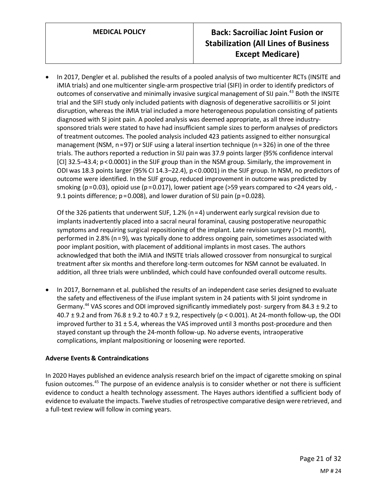• In 2017, Dengler et al. published the results of a pooled analysis of two multicenter RCTs (INSITE and iMIA trials) and one multicenter single-arm prospective trial (SIFI) in order to identify predictors of outcomes of conservative and minimally invasive surgical management of SIJ pain.<sup>43</sup> Both the INSITE trial and the SIFI study only included patients with diagnosis of degenerative sacroiliitis or SI joint disruption, whereas the iMIA trial included a more heterogeneous population consisting of patients diagnosed with SI joint pain. A pooled analysis was deemed appropriate, as all three industrysponsored trials were stated to have had insufficient sample sizes to perform analyses of predictors of treatment outcomes. The pooled analysis included 423 patients assigned to either nonsurgical management (NSM,  $n = 97$ ) or SIJF using a lateral insertion technique ( $n = 326$ ) in one of the three trials. The authors reported a reduction in SIJ pain was 37.9 points larger (95% confidence interval [CI] 32.5–43.4; p < 0.0001) in the SIJF group than in the NSM group. Similarly, the improvement in ODI was 18.3 points larger (95% CI 14.3–22.4), p < 0.0001) in the SIJF group. In NSM, no predictors of outcome were identified. In the SIJF group, reduced improvement in outcome was predicted by smoking (p = 0.03), opioid use (p = 0.017), lower patient age (> 59 years compared to < 24 years old, -9.1 points difference;  $p = 0.008$ ), and lower duration of SIJ pain ( $p = 0.028$ ).

Of the 326 patients that underwent SIJF, 1.2% ( $n = 4$ ) underwent early surgical revision due to implants inadvertently placed into a sacral neural foraminal, causing postoperative neuropathic symptoms and requiring surgical repositioning of the implant. Late revision surgery (>1 month), performed in 2.8% (n = 9), was typically done to address ongoing pain, sometimes associated with poor implant position, with placement of additional implants in most cases. The authors acknowledged that both the iMIA and INSITE trials allowed crossover from nonsurgical to surgical treatment after six months and therefore long-term outcomes for NSM cannot be evaluated. In addition, all three trials were unblinded, which could have confounded overall outcome results.

• In 2017, Bornemann et al. published the results of an independent case series designed to evaluate the safety and effectiveness of the iFuse implant system in 24 patients with SI joint syndrome in Germany.<sup>44</sup> VAS scores and ODI improved significantly immediately post- surgery from 84.3  $\pm$  9.2 to  $40.7 \pm 9.2$  and from  $76.8 \pm 9.2$  to  $40.7 \pm 9.2$ , respectively (p < 0.001). At 24-month follow-up, the ODI improved further to  $31 \pm 5.4$ , whereas the VAS improved until 3 months post-procedure and then stayed constant up through the 24-month follow-up. No adverse events, intraoperative complications, implant malpositioning or loosening were reported.

## **Adverse Events & Contraindications**

In 2020 Hayes published an evidence analysis research brief on the impact of cigarette smoking on spinal fusion outcomes.<sup>45</sup> The purpose of an evidence analysis is to consider whether or not there is sufficient evidence to conduct a health technology assessment. The Hayes authors identified a sufficient body of evidence to evaluate the impacts. Twelve studies of retrospective comparative design were retrieved, and a full-text review will follow in coming years.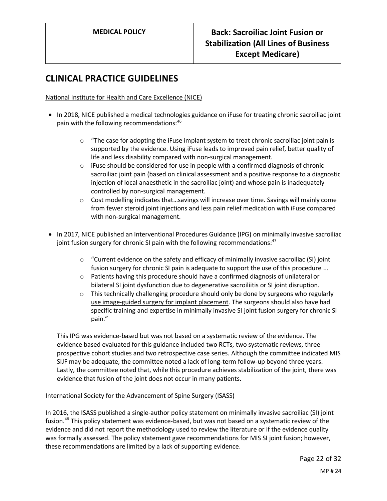# **CLINICAL PRACTICE GUIDELINES**

## National Institute for Health and Care Excellence (NICE)

- In 2018, NICE published a medical technologies guidance on iFuse for treating chronic sacroiliac joint pain with the following recommendations:<sup>46</sup>
	- $\circ$  "The case for adopting the iFuse implant system to treat chronic sacroiliac joint pain is supported by the evidence. Using iFuse leads to improved pain relief, better quality of life and less disability compared with non-surgical management.
	- $\circ$  ifuse should be considered for use in people with a confirmed diagnosis of chronic sacroiliac joint pain (based on clinical assessment and a positive response to a diagnostic injection of local anaesthetic in the sacroiliac joint) and whose pain is inadequately controlled by non-surgical management.
	- $\circ$  Cost modelling indicates that...savings will increase over time. Savings will mainly come from fewer steroid joint injections and less pain relief medication with iFuse compared with non-surgical management.
- In 2017, NICE published an Interventional Procedures Guidance (IPG) on minimally invasive sacroiliac joint fusion surgery for chronic SI pain with the following recommendations: $47$ 
	- $\circ$  "Current evidence on the safety and efficacy of minimally invasive sacroiliac (SI) joint fusion surgery for chronic SI pain is adequate to support the use of this procedure ...
	- $\circ$  Patients having this procedure should have a confirmed diagnosis of unilateral or bilateral SI joint dysfunction due to degenerative sacroiliitis or SI joint disruption.
	- $\circ$  This technically challenging procedure should only be done by surgeons who regularly use image-guided surgery for implant placement. The surgeons should also have had specific training and expertise in minimally invasive SI joint fusion surgery for chronic SI pain."

This IPG was evidence-based but was not based on a systematic review of the evidence. The evidence based evaluated for this guidance included two RCTs, two systematic reviews, three prospective cohort studies and two retrospective case series. Although the committee indicated MIS SIJF may be adequate, the committee noted a lack of long-term follow-up beyond three years. Lastly, the committee noted that, while this procedure achieves stabilization of the joint, there was evidence that fusion of the joint does not occur in many patients.

### International Society for the Advancement of Spine Surgery (ISASS)

In 2016, the ISASS published a single-author policy statement on minimally invasive sacroiliac (SI) joint fusion.<sup>48</sup> This policy statement was evidence-based, but was not based on a systematic review of the evidence and did not report the methodology used to review the literature or if the evidence quality was formally assessed. The policy statement gave recommendations for MIS SI joint fusion; however, these recommendations are limited by a lack of supporting evidence.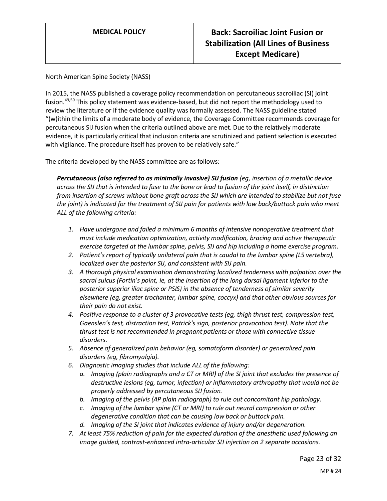## North American Spine Society (NASS)

In 2015, the NASS published a coverage policy recommendation on percutaneous sacroiliac (SI) joint fusion.<sup>49,50</sup> This policy statement was evidence-based, but did not report the methodology used to review the literature or if the evidence quality was formally assessed. The NASS guideline stated "(w)ithin the limits of a moderate body of evidence, the Coverage Committee recommends coverage for percutaneous SIJ fusion when the criteria outlined above are met. Due to the relatively moderate evidence, it is particularly critical that inclusion criteria are scrutinized and patient selection is executed with vigilance. The procedure itself has proven to be relatively safe."

The criteria developed by the NASS committee are as follows:

*Percutaneous (also referred to as minimally invasive) SIJ fusion (eg, insertion of a metallic device across the SIJ that is intended to fuse to the bone or lead to fusion of the joint itself, in distinction from insertion of screws without bone graft across the SIJ which are intended to stabilize but not fuse the joint) is indicated for the treatment of SIJ pain for patients with low back/buttock pain who meet ALL of the following criteria:*

- *1. Have undergone and failed a minimum 6 months of intensive nonoperative treatment that must include medication optimization, activity modification, bracing and active therapeutic exercise targeted at the lumbar spine, pelvis, SIJ and hip including a home exercise program.*
- *2. Patient's report of typically unilateral pain that is caudal to the lumbar spine (L5 vertebra), localized over the posterior SIJ, and consistent with SIJ pain.*
- *3. A thorough physical examination demonstrating localized tenderness with palpation over the sacral sulcus (Fortin's point, ie, at the insertion of the long dorsal ligament inferior to the posterior superior iliac spine or PSIS) in the absence of tenderness of similar severity elsewhere (eg, greater trochanter, lumbar spine, coccyx) and that other obvious sources for their pain do not exist.*
- *4. Positive response to a cluster of 3 provocative tests (eg, thigh thrust test, compression test, Gaenslen's test, distraction test, Patrick's sign, posterior provocation test). Note that the thrust test is not recommended in pregnant patients or those with connective tissue disorders.*
- *5. Absence of generalized pain behavior (eg, somatoform disorder) or generalized pain disorders (eg, fibromyalgia).*
- *6. Diagnostic imaging studies that include ALL of the following:*
	- *a. Imaging (plain radiographs and a CT or MRI) of the SI joint that excludes the presence of destructive lesions (eg, tumor, infection) or inflammatory arthropathy that would not be properly addressed by percutaneous SIJ fusion.*
	- *b. Imaging of the pelvis (AP plain radiograph) to rule out concomitant hip pathology.*
	- *c. Imaging of the lumbar spine (CT or MRI) to rule out neural compression or other degenerative condition that can be causing low back or buttock pain.*
	- *d. Imaging of the SI joint that indicates evidence of injury and/or degeneration.*
- *7. At least 75% reduction of pain for the expected duration of the anesthetic used following an image guided, contrast-enhanced intra-articular SIJ injection on 2 separate occasions.*

Page 23 of 32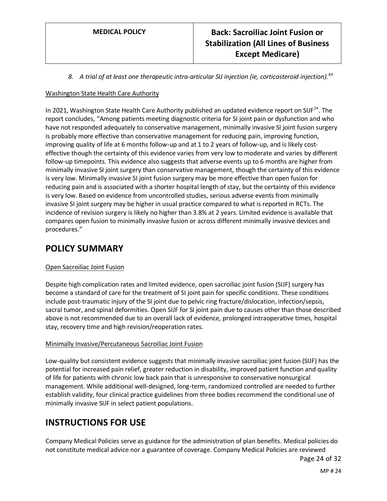*8. A trial of at least one therapeutic intra-articular SIJ injection (ie, corticosteroid injection).<sup>49</sup>*

## Washington State Health Care Authority

In 2021, Washington State Health Care Authority published an updated evidence report on SIJF<sup>24</sup>. The report concludes, "Among patients meeting diagnostic criteria for SI joint pain or dysfunction and who have not responded adequately to conservative management, minimally invasive SI joint fusion surgery is probably more effective than conservative management for reducing pain, improving function, improving quality of life at 6 months follow-up and at 1 to 2 years of follow-up, and is likely costeffective though the certainty of this evidence varies from very low to moderate and varies by different follow-up timepoints. This evidence also suggests that adverse events up to 6 months are higher from minimally invasive SI joint surgery than conservative management, though the certainty of this evidence is very low. Minimally invasive SI joint fusion surgery may be more effective than open fusion for reducing pain and is associated with a shorter hospital length of stay, but the certainty of this evidence is very low. Based on evidence from uncontrolled studies, serious adverse events from minimally invasive SI joint surgery may be higher in usual practice compared to what is reported in RCTs. The incidence of revision surgery is likely no higher than 3.8% at 2 years. Limited evidence is available that compares open fusion to minimally invasive fusion or across different minimally invasive devices and procedures."

## <span id="page-23-0"></span>**POLICY SUMMARY**

## Open Sacroiliac Joint Fusion

Despite high complication rates and limited evidence, open sacroiliac joint fusion (SIJF) surgery has become a standard of care for the treatment of SI joint pain for specific conditions. These conditions include post-traumatic injury of the SI joint due to pelvic ring fracture/dislocation, infection/sepsis, sacral tumor, and spinal deformities. Open SIJF for SI joint pain due to causes other than those described above is not recommended due to an overall lack of evidence, prolonged intraoperative times, hospital stay, recovery time and high revision/reoperation rates.

## Minimally Invasive/Percutaneous Sacroiliac Joint Fusion

Low-quality but consistent evidence suggests that minimally invasive sacroiliac joint fusion (SIJF) has the potential for increased pain relief, greater reduction in disability, improved patient function and quality of life for patients with chronic low back pain that is unresponsive to conservative nonsurgical management. While additional well-designed, long-term, randomized controlled are needed to further establish validity, four clinical practice guidelines from three bodies recommend the conditional use of minimally invasive SIJF in select patient populations.

# **INSTRUCTIONS FOR USE**

Company Medical Policies serve as guidance for the administration of plan benefits. Medical policies do not constitute medical advice nor a guarantee of coverage. Company Medical Policies are reviewed

Page 24 of 32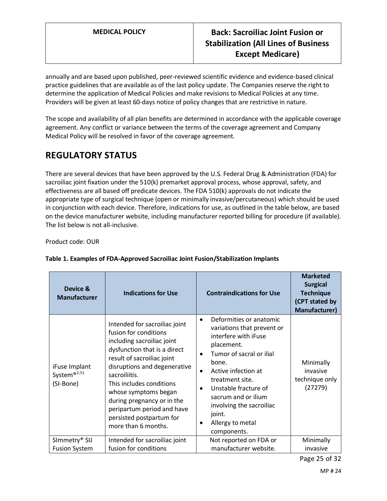annually and are based upon published, peer-reviewed scientific evidence and evidence-based clinical practice guidelines that are available as of the last policy update. The Companies reserve the right to determine the application of Medical Policies and make revisions to Medical Policies at any time. Providers will be given at least 60-days notice of policy changes that are restrictive in nature.

The scope and availability of all plan benefits are determined in accordance with the applicable coverage agreement. Any conflict or variance between the terms of the coverage agreement and Company Medical Policy will be resolved in favor of the coverage agreement.

# **REGULATORY STATUS**

There are several devices that have been approved by the U.S. Federal Drug & Administration (FDA) for sacroiliac joint fixation under the 510(k) premarket approval process, whose approval, safety, and effectiveness are all based off predicate devices. The FDA 510(k) approvals do not indicate the appropriate type of surgical technique (open or minimally invasive/percutaneous) which should be used in conjunction with each device. Therefore, indications for use, as outlined in the table below, are based on the device manufacturer website, including manufacturer reported billing for procedure (if available). The list below is not all-inclusive.

Product code: OUR

| Device &<br><b>Manufacturer</b>                       | <b>Indications for Use</b>                                                                                                                                                                                                                                                                                                                                             | <b>Contraindications for Use</b>                                                                                                                                                                                                                                                                                                          | <b>Marketed</b><br><b>Surgical</b><br><b>Technique</b><br>(CPT stated by<br>Manufacturer) |
|-------------------------------------------------------|------------------------------------------------------------------------------------------------------------------------------------------------------------------------------------------------------------------------------------------------------------------------------------------------------------------------------------------------------------------------|-------------------------------------------------------------------------------------------------------------------------------------------------------------------------------------------------------------------------------------------------------------------------------------------------------------------------------------------|-------------------------------------------------------------------------------------------|
| iFuse Implant<br>System <sup>®2,51</sup><br>(SI-Bone) | Intended for sacroiliac joint<br>fusion for conditions<br>including sacroiliac joint<br>dysfunction that is a direct<br>result of sacroiliac joint<br>disruptions and degenerative<br>sacroiliitis.<br>This includes conditions<br>whose symptoms began<br>during pregnancy or in the<br>peripartum period and have<br>persisted postpartum for<br>more than 6 months. | Deformities or anatomic<br>$\bullet$<br>variations that prevent or<br>interfere with iFuse<br>placement.<br>Tumor of sacral or ilial<br>$\bullet$<br>bone.<br>Active infection at<br>treatment site.<br>Unstable fracture of<br>sacrum and or ilium<br>involving the sacroiliac<br>joint.<br>Allergy to metal<br>$\bullet$<br>components. | Minimally<br>invasive<br>technique only<br>(27279)                                        |
| SImmetry <sup>®</sup> SIJ<br><b>Fusion System</b>     | Intended for sacroiliac joint<br>fusion for conditions                                                                                                                                                                                                                                                                                                                 | Not reported on FDA or<br>manufacturer website.                                                                                                                                                                                                                                                                                           | Minimally<br>invasive                                                                     |

## <span id="page-24-0"></span>**Table 1. Examples of FDA-Approved Sacroiliac Joint Fusion/Stabilization Implants**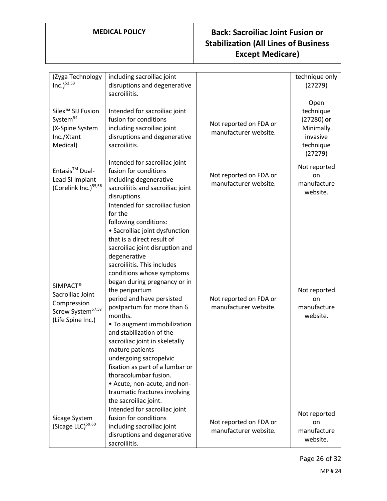| (Zyga Technology<br>$Inc.)^{52,53}$                                                                           | including sacroiliac joint<br>disruptions and degenerative<br>sacroiliitis.                                                                                                                                                                                                                                                                                                                                                                                                                                                                                                                                                                                               |                                                 | technique only<br>(27279)                                                          |
|---------------------------------------------------------------------------------------------------------------|---------------------------------------------------------------------------------------------------------------------------------------------------------------------------------------------------------------------------------------------------------------------------------------------------------------------------------------------------------------------------------------------------------------------------------------------------------------------------------------------------------------------------------------------------------------------------------------------------------------------------------------------------------------------------|-------------------------------------------------|------------------------------------------------------------------------------------|
| Silex <sup>™</sup> SIJ Fusion<br>System <sup>54</sup><br>(X-Spine System<br>Inc./Xtant<br>Medical)            | Intended for sacroiliac joint<br>fusion for conditions<br>including sacroiliac joint<br>disruptions and degenerative<br>sacroiliitis.                                                                                                                                                                                                                                                                                                                                                                                                                                                                                                                                     | Not reported on FDA or<br>manufacturer website. | Open<br>technique<br>$(27280)$ or<br>Minimally<br>invasive<br>technique<br>(27279) |
| Entasis <sup>™</sup> Dual-<br>Lead SI Implant<br>(Corelink Inc.) <sup>55,56</sup>                             | Intended for sacroiliac joint<br>fusion for conditions<br>including degenerative<br>sacroiliitis and sacroiliac joint<br>disruptions.                                                                                                                                                                                                                                                                                                                                                                                                                                                                                                                                     | Not reported on FDA or<br>manufacturer website. | Not reported<br>on<br>manufacture<br>website.                                      |
| SIMPACT <sup>®</sup><br>Sacroiliac Joint<br>Compression<br>Screw System <sup>57,58</sup><br>(Life Spine Inc.) | Intended for sacroiliac fusion<br>for the<br>following conditions:<br>• Sacroiliac joint dysfunction<br>that is a direct result of<br>sacroiliac joint disruption and<br>degenerative<br>sacroiliitis. This includes<br>conditions whose symptoms<br>began during pregnancy or in<br>the peripartum<br>period and have persisted<br>postpartum for more than 6<br>months.<br>• To augment immobilization<br>and stabilization of the<br>sacroiliac joint in skeletally<br>mature patients<br>undergoing sacropelvic<br>fixation as part of a lumbar or<br>thoracolumbar fusion.<br>• Acute, non-acute, and non-<br>traumatic fractures involving<br>the sacroiliac joint. | Not reported on FDA or<br>manufacturer website. | Not reported<br>on<br>manufacture<br>website.                                      |
| Sicage System<br>(Sicage LLC) <sup>59,60</sup>                                                                | Intended for sacroiliac joint<br>fusion for conditions<br>including sacroiliac joint<br>disruptions and degenerative<br>sacroiliitis.                                                                                                                                                                                                                                                                                                                                                                                                                                                                                                                                     | Not reported on FDA or<br>manufacturer website. | Not reported<br>on<br>manufacture<br>website.                                      |

Page 26 of 32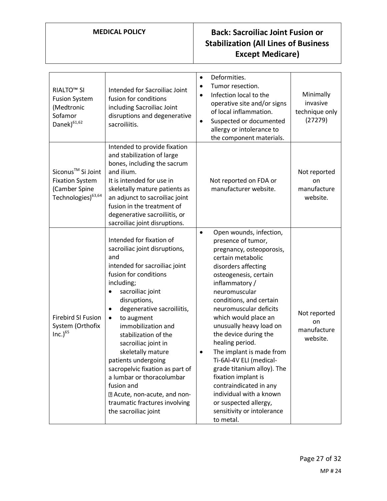| <b>RIALTO<sup>™</sup> SI</b><br><b>Fusion System</b><br>(Medtronic<br>Sofamor<br>Danek) <sup>61,62</sup>   | Intended for Sacroiliac Joint<br>fusion for conditions<br>including Sacroiliac Joint<br>disruptions and degenerative<br>sacroiliitis.                                                                                                                                                                                                                                                                                                                                                                                                      | Deformities.<br>$\bullet$<br>Tumor resection.<br>$\bullet$<br>Infection local to the<br>$\bullet$<br>operative site and/or signs<br>of local inflammation.<br>Suspected or documented<br>$\bullet$<br>allergy or intolerance to<br>the component materials.                                                                                                                                                                                                                                                                                                                            | Minimally<br>invasive<br>technique only<br>(27279) |
|------------------------------------------------------------------------------------------------------------|--------------------------------------------------------------------------------------------------------------------------------------------------------------------------------------------------------------------------------------------------------------------------------------------------------------------------------------------------------------------------------------------------------------------------------------------------------------------------------------------------------------------------------------------|----------------------------------------------------------------------------------------------------------------------------------------------------------------------------------------------------------------------------------------------------------------------------------------------------------------------------------------------------------------------------------------------------------------------------------------------------------------------------------------------------------------------------------------------------------------------------------------|----------------------------------------------------|
| Siconus <sup>™</sup> Si Joint<br><b>Fixation System</b><br>(Camber Spine<br>Technologies) <sup>63,64</sup> | Intended to provide fixation<br>and stabilization of large<br>bones, including the sacrum<br>and ilium.<br>It is intended for use in<br>skeletally mature patients as<br>an adjunct to sacroiliac joint<br>fusion in the treatment of<br>degenerative sacroiliitis, or<br>sacroiliac joint disruptions.                                                                                                                                                                                                                                    | Not reported on FDA or<br>manufacturer website.                                                                                                                                                                                                                                                                                                                                                                                                                                                                                                                                        | Not reported<br>on<br>manufacture<br>website.      |
| <b>Firebird SI Fusion</b><br>System (Orthofix<br>Inc.) <sup>65</sup>                                       | Intended for fixation of<br>sacroiliac joint disruptions,<br>and<br>intended for sacroiliac joint<br>fusion for conditions<br>including;<br>sacroiliac joint<br>disruptions,<br>degenerative sacroiliitis,<br>$\bullet$<br>to augment<br>$\bullet$<br>immobilization and<br>stabilization of the<br>sacroiliac joint in<br>skeletally mature<br>patients undergoing<br>sacropelvic fixation as part of<br>a lumbar or thoracolumbar<br>fusion and<br>2 Acute, non-acute, and non-<br>traumatic fractures involving<br>the sacroiliac joint | Open wounds, infection,<br>$\bullet$<br>presence of tumor,<br>pregnancy, osteoporosis,<br>certain metabolic<br>disorders affecting<br>osteogenesis, certain<br>inflammatory/<br>neuromuscular<br>conditions, and certain<br>neuromuscular deficits<br>which would place an<br>unusually heavy load on<br>the device during the<br>healing period.<br>The implant is made from<br>Ti-6Al-4V ELI (medical-<br>grade titanium alloy). The<br>fixation implant is<br>contraindicated in any<br>individual with a known<br>or suspected allergy,<br>sensitivity or intolerance<br>to metal. | Not reported<br>on<br>manufacture<br>website.      |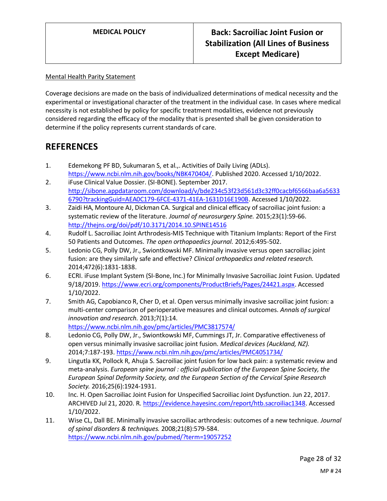## Mental Health Parity Statement

Coverage decisions are made on the basis of individualized determinations of medical necessity and the experimental or investigational character of the treatment in the individual case. In cases where medical necessity is not established by policy for specific treatment modalities, evidence not previously considered regarding the efficacy of the modality that is presented shall be given consideration to determine if the policy represents current standards of care.

## **REFERENCES**

- 1. Edemekong PF BD, Sukumaran S, et al.,. Activities of Daily Living (ADLs). [https://www.ncbi.nlm.nih.gov/books/NBK470404/.](https://www.ncbi.nlm.nih.gov/books/NBK470404/) Published 2020. Accessed 1/10/2022.
- 2. iFuse Clinical Value Dossier. (SI-BONE). September 2017. [http://sibone.appdataroom.com/download/v/bde234c53f23d561d3c32ff0cacbf6566baa6a5633](http://sibone.appdataroom.com/download/v/bde234c53f23d561d3c32ff0cacbf6566baa6a56336790?trackingGuid=AEA0C179-6FCE-4371-41EA-1631D16E190B) [6790?trackingGuid=AEA0C179-6FCE-4371-41EA-1631D16E190B.](http://sibone.appdataroom.com/download/v/bde234c53f23d561d3c32ff0cacbf6566baa6a56336790?trackingGuid=AEA0C179-6FCE-4371-41EA-1631D16E190B) Accessed 1/10/2022.
- 3. Zaidi HA, Montoure AJ, Dickman CA. Surgical and clinical efficacy of sacroiliac joint fusion: a systematic review of the literature. *Journal of neurosurgery Spine.* 2015;23(1):59-66. <http://thejns.org/doi/pdf/10.3171/2014.10.SPINE14516>
- 4. Rudolf L. Sacroiliac Joint Arthrodesis-MIS Technique with Titanium Implants: Report of the First 50 Patients and Outcomes. *The open orthopaedics journal.* 2012;6:495-502.
- 5. Ledonio CG, Polly DW, Jr., Swiontkowski MF. Minimally invasive versus open sacroiliac joint fusion: are they similarly safe and effective? *Clinical orthopaedics and related research.*  2014;472(6):1831-1838.
- 6. ECRI. iFuse Implant System (SI-Bone, Inc.) for Minimally Invasive Sacroiliac Joint Fusion. Updated 9/18/2019. [https://www.ecri.org/components/ProductBriefs/Pages/24421.aspx.](https://www.ecri.org/components/ProductBriefs/Pages/24421.aspx) Accessed 1/10/2022.
- 7. Smith AG, Capobianco R, Cher D, et al. Open versus minimally invasive sacroiliac joint fusion: a multi-center comparison of perioperative measures and clinical outcomes. *Annals of surgical innovation and research.* 2013;7(1):14. <https://www.ncbi.nlm.nih.gov/pmc/articles/PMC3817574/>
- 8. Ledonio CG, Polly DW, Jr., Swiontkowski MF, Cummings JT, Jr. Comparative effectiveness of open versus minimally invasive sacroiliac joint fusion. *Medical devices (Auckland, NZ).*  2014;7:187-193.<https://www.ncbi.nlm.nih.gov/pmc/articles/PMC4051734/>
- 9. Lingutla KK, Pollock R, Ahuja S. Sacroiliac joint fusion for low back pain: a systematic review and meta-analysis. *European spine journal : official publication of the European Spine Society, the European Spinal Deformity Society, and the European Section of the Cervical Spine Research Society.* 2016;25(6):1924-1931.
- 10. Inc. H. Open Sacroiliac Joint Fusion for Unspecified Sacroiliac Joint Dysfunction. Jun 22, 2017. ARCHIVED Jul 21, 2020. R. [https://evidence.hayesinc.com/report/htb.sacroiliac1348.](https://evidence.hayesinc.com/report/htb.sacroiliac1348) Accessed 1/10/2022.
- 11. Wise CL, Dall BE. Minimally invasive sacroiliac arthrodesis: outcomes of a new technique. *Journal of spinal disorders & techniques.* 2008;21(8):579-584. <https://www.ncbi.nlm.nih.gov/pubmed/?term=19057252>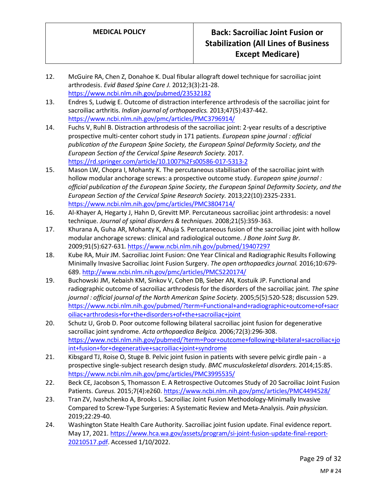- 12. McGuire RA, Chen Z, Donahoe K. Dual fibular allograft dowel technique for sacroiliac joint arthrodesis. *Evid Based Spine Care J.* 2012;3(3):21-28. <https://www.ncbi.nlm.nih.gov/pubmed/23532182>
- 13. Endres S, Ludwig E. Outcome of distraction interference arthrodesis of the sacroiliac joint for sacroiliac arthritis. *Indian journal of orthopaedics.* 2013;47(5):437-442. <https://www.ncbi.nlm.nih.gov/pmc/articles/PMC3796914/>
- 14. Fuchs V, Ruhl B. Distraction arthrodesis of the sacroiliac joint: 2-year results of a descriptive prospective multi-center cohort study in 171 patients. *European spine journal : official publication of the European Spine Society, the European Spinal Deformity Society, and the European Section of the Cervical Spine Research Society.* 2017. <https://rd.springer.com/article/10.1007%2Fs00586-017-5313-2>
- 15. Mason LW, Chopra I, Mohanty K. The percutaneous stabilisation of the sacroiliac joint with hollow modular anchorage screws: a prospective outcome study. *European spine journal : official publication of the European Spine Society, the European Spinal Deformity Society, and the European Section of the Cervical Spine Research Society.* 2013;22(10):2325-2331. <https://www.ncbi.nlm.nih.gov/pmc/articles/PMC3804714/>
- 16. Al-Khayer A, Hegarty J, Hahn D, Grevitt MP. Percutaneous sacroiliac joint arthrodesis: a novel technique. *Journal of spinal disorders & techniques.* 2008;21(5):359-363.
- 17. Khurana A, Guha AR, Mohanty K, Ahuja S. Percutaneous fusion of the sacroiliac joint with hollow modular anchorage screws: clinical and radiological outcome. *J Bone Joint Surg Br.*  2009;91(5):627-631[. https://www.ncbi.nlm.nih.gov/pubmed/19407297](https://www.ncbi.nlm.nih.gov/pubmed/19407297)
- 18. Kube RA, Muir JM. Sacroiliac Joint Fusion: One Year Clinical and Radiographic Results Following Minimally Invasive Sacroiliac Joint Fusion Surgery. *The open orthopaedics journal.* 2016;10:679- 689.<http://www.ncbi.nlm.nih.gov/pmc/articles/PMC5220174/>
- 19. Buchowski JM, Kebaish KM, Sinkov V, Cohen DB, Sieber AN, Kostuik JP. Functional and radiographic outcome of sacroiliac arthrodesis for the disorders of the sacroiliac joint. *The spine journal : official journal of the North American Spine Society.* 2005;5(5):520-528; discussion 529. [https://www.ncbi.nlm.nih.gov/pubmed/?term=Functional+and+radiographic+outcome+of+sacr](https://www.ncbi.nlm.nih.gov/pubmed/?term=Functional+and+radiographic+outcome+of+sacroiliac+arthrodesis+for+the+disorders+of+the+sacroiliac+joint) [oiliac+arthrodesis+for+the+disorders+of+the+sacroiliac+joint](https://www.ncbi.nlm.nih.gov/pubmed/?term=Functional+and+radiographic+outcome+of+sacroiliac+arthrodesis+for+the+disorders+of+the+sacroiliac+joint)
- 20. Schutz U, Grob D. Poor outcome following bilateral sacroiliac joint fusion for degenerative sacroiliac joint syndrome. *Acta orthopaedica Belgica.* 2006;72(3):296-308. [https://www.ncbi.nlm.nih.gov/pubmed/?term=Poor+outcome+following+bilateral+sacroiliac+jo](https://www.ncbi.nlm.nih.gov/pubmed/?term=Poor+outcome+following+bilateral+sacroiliac+joint+fusion+for+degenerative+sacroiliac+joint+syndrome) [int+fusion+for+degenerative+sacroiliac+joint+syndrome](https://www.ncbi.nlm.nih.gov/pubmed/?term=Poor+outcome+following+bilateral+sacroiliac+joint+fusion+for+degenerative+sacroiliac+joint+syndrome)
- 21. Kibsgard TJ, Roise O, Stuge B. Pelvic joint fusion in patients with severe pelvic girdle pain a prospective single-subject research design study. *BMC musculoskeletal disorders.* 2014;15:85. <https://www.ncbi.nlm.nih.gov/pmc/articles/PMC3995535/>
- 22. Beck CE, Jacobson S, Thomasson E. A Retrospective Outcomes Study of 20 Sacroiliac Joint Fusion Patients. *Cureus.* 2015;7(4):e260.<https://www.ncbi.nlm.nih.gov/pmc/articles/PMC4494528/>
- 23. Tran ZV, Ivashchenko A, Brooks L. Sacroiliac Joint Fusion Methodology-Minimally Invasive Compared to Screw-Type Surgeries: A Systematic Review and Meta-Analysis. *Pain physician.*  2019;22:29-40.
- 24. Washington State Health Care Authority. Sacroiliac joint fusion update. Final evidence report. May 17, 2021[. https://www.hca.wa.gov/assets/program/si-joint-fusion-update-final-report-](https://www.hca.wa.gov/assets/program/si-joint-fusion-update-final-report-20210517.pdf)[20210517.pdf.](https://www.hca.wa.gov/assets/program/si-joint-fusion-update-final-report-20210517.pdf) Accessed 1/10/2022.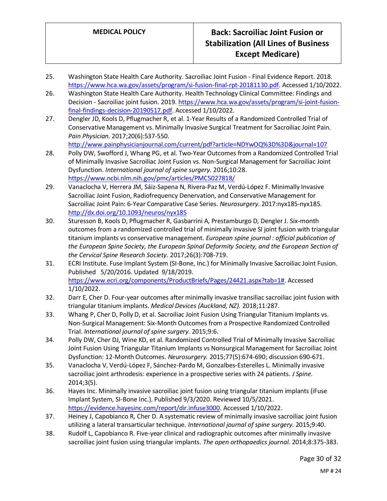- 25. Washington State Health Care Authority. Sacroiliac Joint Fusion Final Evidence Report. 2018. [https://www.hca.wa.gov/assets/program/si-fusion-final-rpt-20181130.pdf.](https://www.hca.wa.gov/assets/program/si-fusion-final-rpt-20181130.pdf) Accessed 1/10/2022.
- 26. Washington State Health Care Authority. Health Technology Clinical Committee: Findings and Decision - Sacroiliac joint fusion. 2019. [https://www.hca.wa.gov/assets/program/si-joint-fusion](https://www.hca.wa.gov/assets/program/si-joint-fusion-final-findings-decision-20190517.pdf)[final-findings-decision-20190517.pdf.](https://www.hca.wa.gov/assets/program/si-joint-fusion-final-findings-decision-20190517.pdf) Accessed 1/10/2022.
- 27. Dengler JD, Kools D, Pflugmacher R, et al. 1-Year Results of a Randomized Controlled Trial of Conservative Management vs. Minimally Invasive Surgical Treatment for Sacroiliac Joint Pain. *Pain Physician.* 2017;20(6):537-550.

<http://www.painphysicianjournal.com/current/pdf?article=NDYwOQ%3D%3D&journal=107>

- 28. Polly DW, Swofford J, Whang PG, et al. Two-Year Outcomes from a Randomized Controlled Trial of Minimally Invasive Sacroiliac Joint Fusion vs. Non-Surgical Management for Sacroiliac Joint Dysfunction. *International journal of spine surgery.* 2016;10:28. <https://www.ncbi.nlm.nih.gov/pmc/articles/PMC5027818/>
- 29. Vanaclocha V, Herrera JM, Sáiz-Sapena N, Rivera-Paz M, Verdú-López F. Minimally Invasive Sacroiliac Joint Fusion, Radiofrequency Denervation, and Conservative Management for Sacroiliac Joint Pain: 6-Year Comparative Case Series. *Neurosurgery.* 2017:nyx185-nyx185. <http://dx.doi.org/10.1093/neuros/nyx185>
- 30. Sturesson B, Kools D, Pflugmacher R, Gasbarrini A, Prestamburgo D, Dengler J. Six-month outcomes from a randomized controlled trial of minimally invasive SI joint fusion with triangular titanium implants vs conservative management. *European spine journal : official publication of the European Spine Society, the European Spinal Deformity Society, and the European Section of the Cervical Spine Research Society.* 2017;26(3):708-719.
- 31. ECRI Institute. Fuse Implant System (SI-Bone, Inc.) for Minimally Invasive Sacroiliac Joint Fusion. Published 5/20/2016. Updated 9/18/2019. [https://www.ecri.org/components/ProductBriefs/Pages/24421.aspx?tab=1#.](https://www.ecri.org/components/ProductBriefs/Pages/24421.aspx?tab=1) Accessed 1/10/2022.
- 32. Darr E, Cher D. Four-year outcomes after minimally invasive transiliac sacroiliac joint fusion with triangular titanium implants. *Medical Devices (Auckland, NZ).* 2018;11:287.
- 33. Whang P, Cher D, Polly D, et al. Sacroiliac Joint Fusion Using Triangular Titanium Implants vs. Non-Surgical Management: Six-Month Outcomes from a Prospective Randomized Controlled Trial. *International journal of spine surgery.* 2015;9:6.
- 34. Polly DW, Cher DJ, Wine KD, et al. Randomized Controlled Trial of Minimally Invasive Sacroiliac Joint Fusion Using Triangular Titanium Implants vs Nonsurgical Management for Sacroiliac Joint Dysfunction: 12-Month Outcomes. *Neurosurgery.* 2015;77(5):674-690; discussion 690-671.
- 35. Vanaclocha V, Verdú-López F, Sánchez-Pardo M, Gonzalbes-Esterelles L. Minimally invasive sacroiliac joint arthrodesis: experience in a prospective series with 24 patients. *J Spine.*  2014;3(5).
- 36. Hayes Inc. Minimally invasive sacroiliac joint fusion using triangular titanium implants (iFuse Implant System, SI-Bone Inc.). Published 9/3/2020. Reviewed 10/5/2021. [https://evidence.hayesinc.com/report/dir.infuse3000.](https://evidence.hayesinc.com/report/dir.infuse3000) Accessed 1/10/2022.
- 37. Heiney J, Capobianco R, Cher D. A systematic review of minimally invasive sacroiliac joint fusion utilizing a lateral transarticular technique. *International journal of spine surgery.* 2015;9:40.
- 38. Rudolf L, Capobianco R. Five-year clinical and radiographic outcomes after minimally invasive sacroiliac joint fusion using triangular implants. *The open orthopaedics journal.* 2014;8:375-383.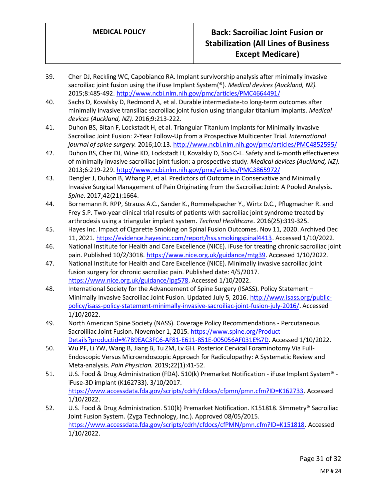- 39. Cher DJ, Reckling WC, Capobianco RA. Implant survivorship analysis after minimally invasive sacroiliac joint fusion using the iFuse Implant System(®). *Medical devices (Auckland, NZ).*  2015;8:485-492.<http://www.ncbi.nlm.nih.gov/pmc/articles/PMC4664491/>
- 40. Sachs D, Kovalsky D, Redmond A, et al. Durable intermediate-to long-term outcomes after minimally invasive transiliac sacroiliac joint fusion using triangular titanium implants. *Medical devices (Auckland, NZ).* 2016;9:213-222.
- 41. Duhon BS, Bitan F, Lockstadt H, et al. Triangular Titanium Implants for Minimally Invasive Sacroiliac Joint Fusion: 2-Year Follow-Up from a Prospective Multicenter Trial. *International journal of spine surgery.* 2016;10:13[. http://www.ncbi.nlm.nih.gov/pmc/articles/PMC4852595/](http://www.ncbi.nlm.nih.gov/pmc/articles/PMC4852595/)
- 42. Duhon BS, Cher DJ, Wine KD, Lockstadt H, Kovalsky D, Soo C-L. Safety and 6-month effectiveness of minimally invasive sacroiliac joint fusion: a prospective study. *Medical devices (Auckland, NZ).*  2013;6:219-229.<http://www.ncbi.nlm.nih.gov/pmc/articles/PMC3865972/>
- 43. Dengler J, Duhon B, Whang P, et al. Predictors of Outcome in Conservative and Minimally Invasive Surgical Management of Pain Originating from the Sacroiliac Joint: A Pooled Analysis. *Spine.* 2017;42(21):1664.
- 44. Bornemann R. RPP, Strauss A.C., Sander K., Rommelspacher Y., Wirtz D.C., Pflugmacher R. and Frey S.P. Two-year clinical trial results of patients with sacroiliac joint syndrome treated by arthrodesis using a triangular implant system. *Technol Healthcare.* 2016(25):319-325.
- 45. Hayes Inc. Impact of Cigarette Smoking on Spinal Fusion Outcomes. Nov 11, 2020. Archived Dec 11, 2021. [https://evidence.hayesinc.com/report/hss.smokingspinal4413.](https://evidence.hayesinc.com/report/hss.smokingspinal4413) Accessed 1/10/2022.
- 46. National Institute for Health and Care Excellence (NICE). iFuse for treating chronic sacroiliac joint pain. Published 10/2/3018[. https://www.nice.org.uk/guidance/mtg39.](https://www.nice.org.uk/guidance/mtg39) Accessed 1/10/2022.
- 47. National Institute for Health and Care Excellence (NICE). Minimally invasive sacroiliac joint fusion surgery for chronic sacroiliac pain. Published date: 4/5/2017. [https://www.nice.org.uk/guidance/ipg578.](https://www.nice.org.uk/guidance/ipg578) Accessed 1/10/2022.
- 48. International Society for the Advancement of Spine Surgery (ISASS). Policy Statement -Minimally Invasive Sacroiliac Joint Fusion. Updated July 5, 2016. [http://www.isass.org/public](http://www.isass.org/public-policy/isass-policy-statement-minimally-invasive-sacroiliac-joint-fusion-july-2016/)[policy/isass-policy-statement-minimally-invasive-sacroiliac-joint-fusion-july-2016/.](http://www.isass.org/public-policy/isass-policy-statement-minimally-invasive-sacroiliac-joint-fusion-july-2016/) Accessed 1/10/2022.
- 49. North American Spine Society (NASS). Coverage Policy Recommendations Percutaneous Sacroliliac Joint Fusion. November 1, 2015[. https://www.spine.org/Product-](https://www.spine.org/Product-Details?productid=%7B9EAC3FC6-AF81-E611-851E-005056AF031E%7D)[Details?productid=%7B9EAC3FC6-AF81-E611-851E-005056AF031E%7D.](https://www.spine.org/Product-Details?productid=%7B9EAC3FC6-AF81-E611-851E-005056AF031E%7D) Accessed 1/10/2022.
- 50. Wu PF, Li YW, Wang B, Jiang B, Tu ZM, Lv GH. Posterior Cervical Foraminotomy Via Full-Endoscopic Versus Microendoscopic Approach for Radiculopathy: A Systematic Review and Meta-analysis. *Pain Physician.* 2019;22(1):41-52.
- 51. U.S. Food & Drug Administration (FDA). 510(k) Premarket Notification iFuse Implant System<sup>®</sup> iFuse-3D implant (K162733). 3/10/2017. [https://www.accessdata.fda.gov/scripts/cdrh/cfdocs/cfpmn/pmn.cfm?ID=K162733.](https://www.accessdata.fda.gov/scripts/cdrh/cfdocs/cfpmn/pmn.cfm?ID=K162733) Accessed 1/10/2022.
- 52. U.S. Food & Drug Administration. 510(k) Premarket Notification. K151818. SImmetry<sup>®</sup> Sacroiliac Joint Fusion System. (Zyga Technology, Inc.). Approved 08/05/2015. [https://www.accessdata.fda.gov/scripts/cdrh/cfdocs/cfPMN/pmn.cfm?ID=K151818.](https://www.accessdata.fda.gov/scripts/cdrh/cfdocs/cfPMN/pmn.cfm?ID=K151818) Accessed 1/10/2022.